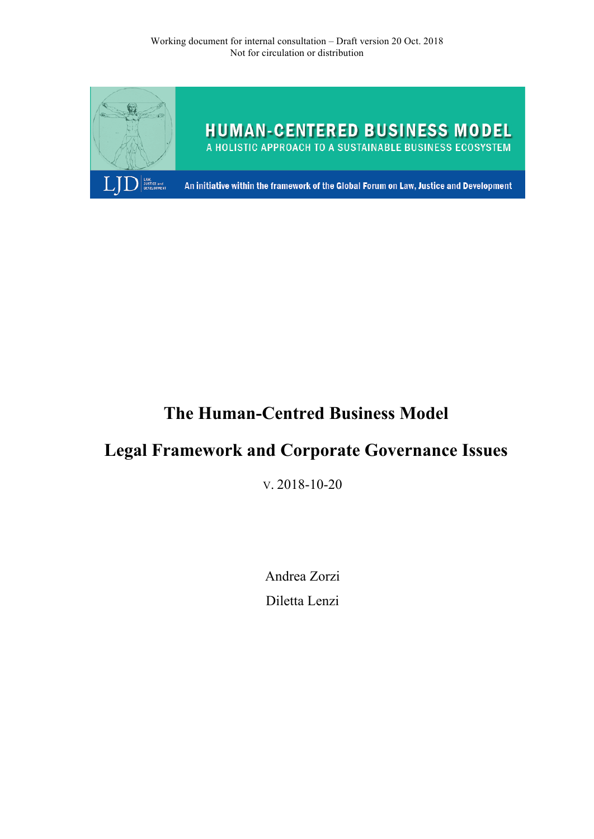

# **The Human-Centred Business Model**

# **Legal Framework and Corporate Governance Issues**

V. 2018-10-20

Andrea Zorzi Diletta Lenzi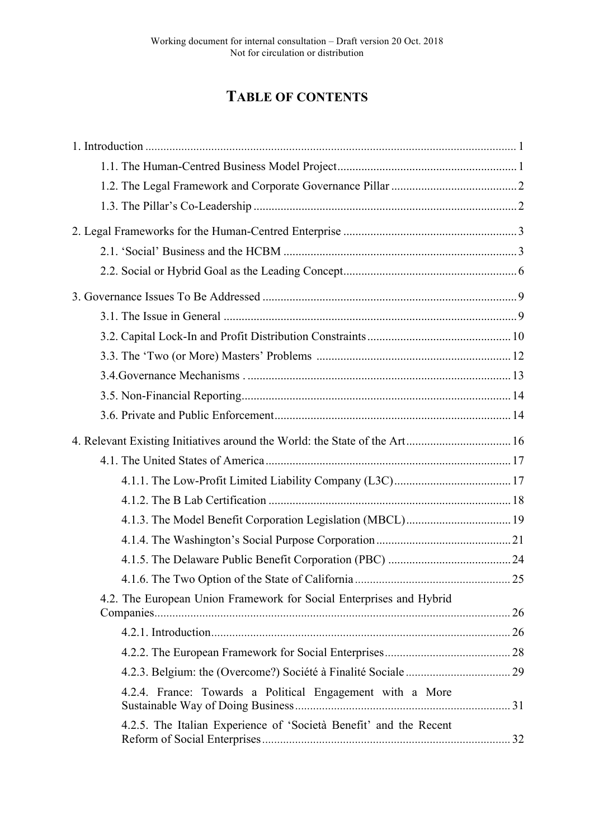# **TABLE OF CONTENTS**

| 4. Relevant Existing Initiatives around the World: the State of the Art 16 |  |
|----------------------------------------------------------------------------|--|
|                                                                            |  |
|                                                                            |  |
|                                                                            |  |
|                                                                            |  |
|                                                                            |  |
|                                                                            |  |
|                                                                            |  |
| 4.2. The European Union Framework for Social Enterprises and Hybrid        |  |
|                                                                            |  |
|                                                                            |  |
|                                                                            |  |
|                                                                            |  |
| 4.2.4. France: Towards a Political Engagement with a More                  |  |
| 4.2.5. The Italian Experience of 'Società Benefit' and the Recent          |  |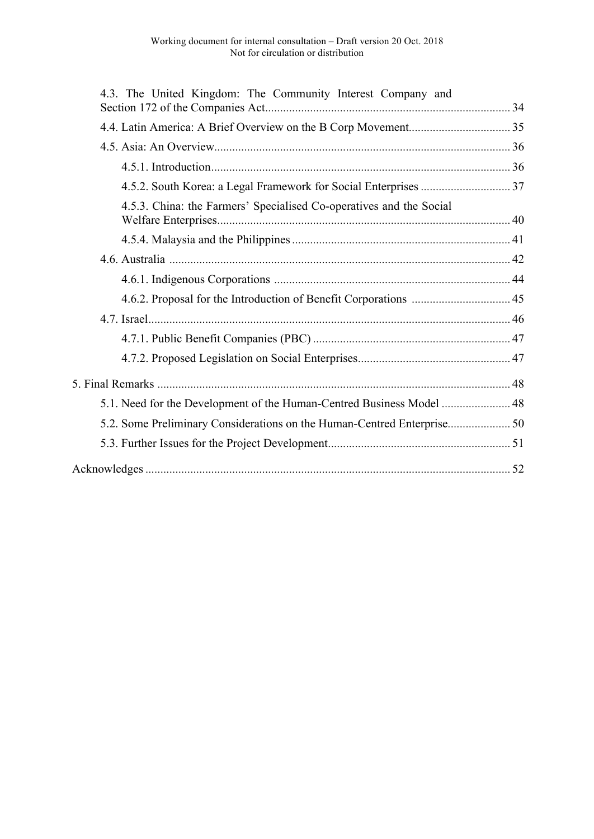| 4.3. The United Kingdom: The Community Interest Company and           |  |
|-----------------------------------------------------------------------|--|
|                                                                       |  |
|                                                                       |  |
|                                                                       |  |
|                                                                       |  |
|                                                                       |  |
| 4.5.3. China: the Farmers' Specialised Co-operatives and the Social   |  |
|                                                                       |  |
|                                                                       |  |
|                                                                       |  |
|                                                                       |  |
|                                                                       |  |
|                                                                       |  |
|                                                                       |  |
|                                                                       |  |
| 5.1. Need for the Development of the Human-Centred Business Model  48 |  |
|                                                                       |  |
|                                                                       |  |
|                                                                       |  |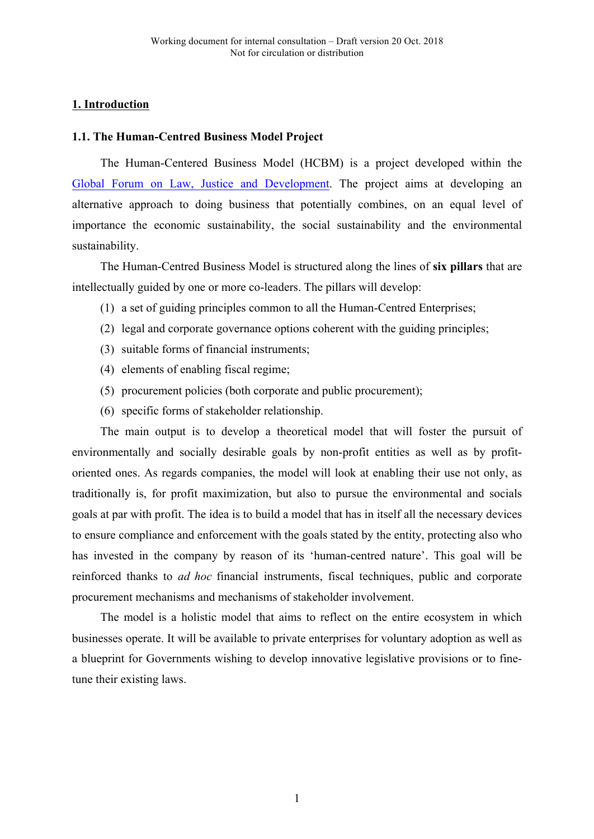# **1. Introduction**

#### **1.1. The Human-Centred Business Model Project**

The Human-Centered Business Model (HCBM) is a project developed within the Global Forum on Law, Justice and Development. The project aims at developing an alternative approach to doing business that potentially combines, on an equal level of importance the economic sustainability, the social sustainability and the environmental sustainability.

The Human-Centred Business Model is structured along the lines of **six pillars** that are intellectually guided by one or more co-leaders. The pillars will develop:

- (1) a set of guiding principles common to all the Human-Centred Enterprises;
- (2) legal and corporate governance options coherent with the guiding principles;
- (3) suitable forms of financial instruments;
- (4) elements of enabling fiscal regime;
- (5) procurement policies (both corporate and public procurement);
- (6) specific forms of stakeholder relationship.

The main output is to develop a theoretical model that will foster the pursuit of environmentally and socially desirable goals by non-profit entities as well as by profitoriented ones. As regards companies, the model will look at enabling their use not only, as traditionally is, for profit maximization, but also to pursue the environmental and socials goals at par with profit. The idea is to build a model that has in itself all the necessary devices to ensure compliance and enforcement with the goals stated by the entity, protecting also who has invested in the company by reason of its 'human-centred nature'. This goal will be reinforced thanks to *ad hoc* financial instruments, fiscal techniques, public and corporate procurement mechanisms and mechanisms of stakeholder involvement.

The model is a holistic model that aims to reflect on the entire ecosystem in which businesses operate. It will be available to private enterprises for voluntary adoption as well as a blueprint for Governments wishing to develop innovative legislative provisions or to finetune their existing laws.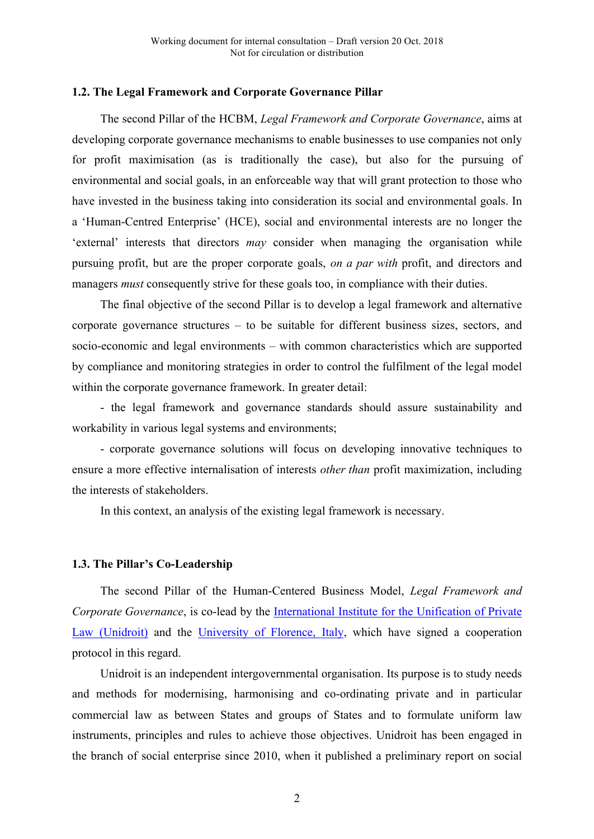#### **1.2. The Legal Framework and Corporate Governance Pillar**

The second Pillar of the HCBM, *Legal Framework and Corporate Governance*, aims at developing corporate governance mechanisms to enable businesses to use companies not only for profit maximisation (as is traditionally the case), but also for the pursuing of environmental and social goals, in an enforceable way that will grant protection to those who have invested in the business taking into consideration its social and environmental goals. In a 'Human-Centred Enterprise' (HCE), social and environmental interests are no longer the 'external' interests that directors *may* consider when managing the organisation while pursuing profit, but are the proper corporate goals, *on a par with* profit, and directors and managers *must* consequently strive for these goals too, in compliance with their duties.

The final objective of the second Pillar is to develop a legal framework and alternative corporate governance structures – to be suitable for different business sizes, sectors, and socio-economic and legal environments – with common characteristics which are supported by compliance and monitoring strategies in order to control the fulfilment of the legal model within the corporate governance framework. In greater detail:

- the legal framework and governance standards should assure sustainability and workability in various legal systems and environments;

- corporate governance solutions will focus on developing innovative techniques to ensure a more effective internalisation of interests *other than* profit maximization, including the interests of stakeholders.

In this context, an analysis of the existing legal framework is necessary.

#### **1.3. The Pillar's Co-Leadership**

The second Pillar of the Human-Centered Business Model, *Legal Framework and Corporate Governance*, is co-lead by the International Institute for the Unification of Private Law (Unidroit) and the University of Florence, Italy, which have signed a cooperation protocol in this regard.

Unidroit is an independent intergovernmental organisation. Its purpose is to study needs and methods for modernising, harmonising and co-ordinating private and in particular commercial law as between States and groups of States and to formulate uniform law instruments, principles and rules to achieve those objectives. Unidroit has been engaged in the branch of social enterprise since 2010, when it published a preliminary report on social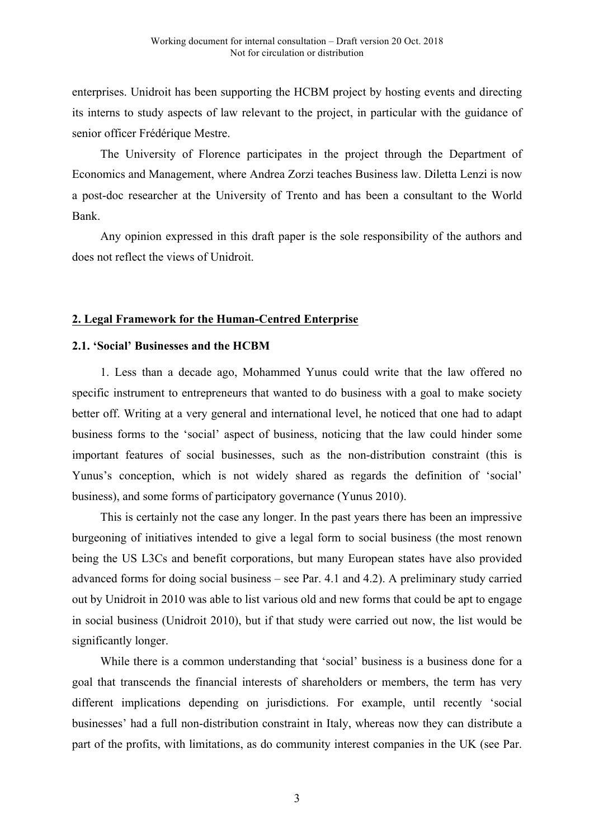enterprises. Unidroit has been supporting the HCBM project by hosting events and directing its interns to study aspects of law relevant to the project, in particular with the guidance of senior officer Frédérique Mestre.

The University of Florence participates in the project through the Department of Economics and Management, where Andrea Zorzi teaches Business law. Diletta Lenzi is now a post-doc researcher at the University of Trento and has been a consultant to the World Bank.

Any opinion expressed in this draft paper is the sole responsibility of the authors and does not reflect the views of Unidroit.

# **2. Legal Framework for the Human-Centred Enterprise**

#### **2.1. 'Social' Businesses and the HCBM**

1. Less than a decade ago, Mohammed Yunus could write that the law offered no specific instrument to entrepreneurs that wanted to do business with a goal to make society better off. Writing at a very general and international level, he noticed that one had to adapt business forms to the 'social' aspect of business, noticing that the law could hinder some important features of social businesses, such as the non-distribution constraint (this is Yunus's conception, which is not widely shared as regards the definition of 'social' business), and some forms of participatory governance (Yunus 2010).

This is certainly not the case any longer. In the past years there has been an impressive burgeoning of initiatives intended to give a legal form to social business (the most renown being the US L3Cs and benefit corporations, but many European states have also provided advanced forms for doing social business – see Par. 4.1 and 4.2). A preliminary study carried out by Unidroit in 2010 was able to list various old and new forms that could be apt to engage in social business (Unidroit 2010), but if that study were carried out now, the list would be significantly longer.

While there is a common understanding that 'social' business is a business done for a goal that transcends the financial interests of shareholders or members, the term has very different implications depending on jurisdictions. For example, until recently 'social businesses' had a full non-distribution constraint in Italy, whereas now they can distribute a part of the profits, with limitations, as do community interest companies in the UK (see Par.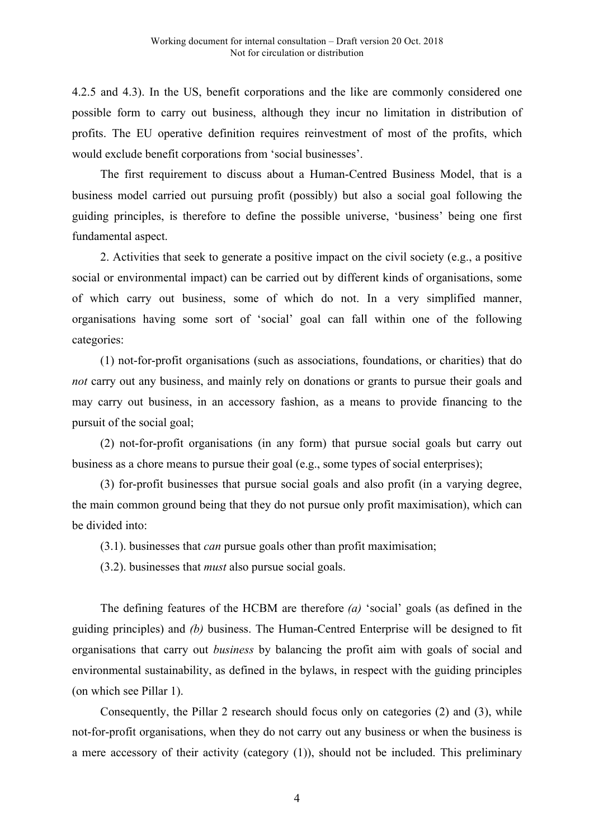4.2.5 and 4.3). In the US, benefit corporations and the like are commonly considered one possible form to carry out business, although they incur no limitation in distribution of profits. The EU operative definition requires reinvestment of most of the profits, which would exclude benefit corporations from 'social businesses'.

The first requirement to discuss about a Human-Centred Business Model, that is a business model carried out pursuing profit (possibly) but also a social goal following the guiding principles, is therefore to define the possible universe, 'business' being one first fundamental aspect.

2. Activities that seek to generate a positive impact on the civil society (e.g., a positive social or environmental impact) can be carried out by different kinds of organisations, some of which carry out business, some of which do not. In a very simplified manner, organisations having some sort of 'social' goal can fall within one of the following categories:

(1) not-for-profit organisations (such as associations, foundations, or charities) that do *not* carry out any business, and mainly rely on donations or grants to pursue their goals and may carry out business, in an accessory fashion, as a means to provide financing to the pursuit of the social goal;

(2) not-for-profit organisations (in any form) that pursue social goals but carry out business as a chore means to pursue their goal (e.g., some types of social enterprises);

(3) for-profit businesses that pursue social goals and also profit (in a varying degree, the main common ground being that they do not pursue only profit maximisation), which can be divided into:

(3.1). businesses that *can* pursue goals other than profit maximisation;

(3.2). businesses that *must* also pursue social goals.

The defining features of the HCBM are therefore *(a)* 'social' goals (as defined in the guiding principles) and *(b)* business. The Human-Centred Enterprise will be designed to fit organisations that carry out *business* by balancing the profit aim with goals of social and environmental sustainability, as defined in the bylaws, in respect with the guiding principles (on which see Pillar 1).

Consequently, the Pillar 2 research should focus only on categories (2) and (3), while not-for-profit organisations, when they do not carry out any business or when the business is a mere accessory of their activity (category (1)), should not be included. This preliminary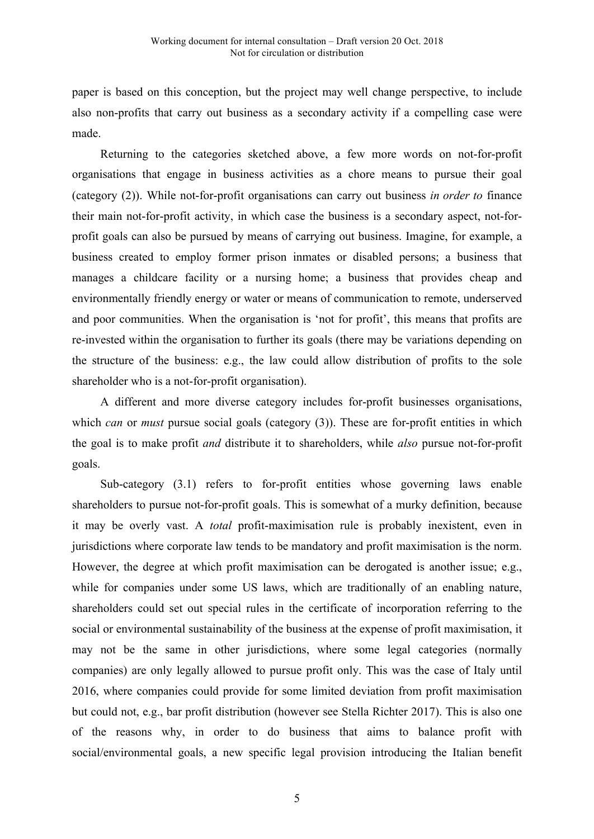paper is based on this conception, but the project may well change perspective, to include also non-profits that carry out business as a secondary activity if a compelling case were made.

Returning to the categories sketched above, a few more words on not-for-profit organisations that engage in business activities as a chore means to pursue their goal (category (2)). While not-for-profit organisations can carry out business *in order to* finance their main not-for-profit activity, in which case the business is a secondary aspect, not-forprofit goals can also be pursued by means of carrying out business. Imagine, for example, a business created to employ former prison inmates or disabled persons; a business that manages a childcare facility or a nursing home; a business that provides cheap and environmentally friendly energy or water or means of communication to remote, underserved and poor communities. When the organisation is 'not for profit', this means that profits are re-invested within the organisation to further its goals (there may be variations depending on the structure of the business: e.g., the law could allow distribution of profits to the sole shareholder who is a not-for-profit organisation).

A different and more diverse category includes for-profit businesses organisations, which *can* or *must* pursue social goals (category (3)). These are for-profit entities in which the goal is to make profit *and* distribute it to shareholders, while *also* pursue not-for-profit goals.

Sub-category (3.1) refers to for-profit entities whose governing laws enable shareholders to pursue not-for-profit goals. This is somewhat of a murky definition, because it may be overly vast. A *total* profit-maximisation rule is probably inexistent, even in jurisdictions where corporate law tends to be mandatory and profit maximisation is the norm. However, the degree at which profit maximisation can be derogated is another issue; e.g., while for companies under some US laws, which are traditionally of an enabling nature, shareholders could set out special rules in the certificate of incorporation referring to the social or environmental sustainability of the business at the expense of profit maximisation, it may not be the same in other jurisdictions, where some legal categories (normally companies) are only legally allowed to pursue profit only. This was the case of Italy until 2016, where companies could provide for some limited deviation from profit maximisation but could not, e.g., bar profit distribution (however see Stella Richter 2017). This is also one of the reasons why, in order to do business that aims to balance profit with social/environmental goals, a new specific legal provision introducing the Italian benefit

5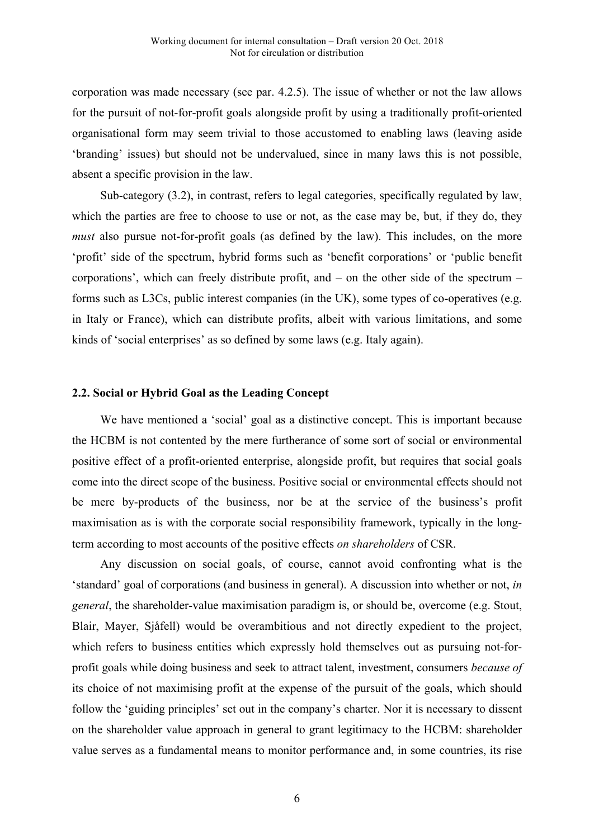corporation was made necessary (see par. 4.2.5). The issue of whether or not the law allows for the pursuit of not-for-profit goals alongside profit by using a traditionally profit-oriented organisational form may seem trivial to those accustomed to enabling laws (leaving aside 'branding' issues) but should not be undervalued, since in many laws this is not possible, absent a specific provision in the law.

Sub-category (3.2), in contrast, refers to legal categories, specifically regulated by law, which the parties are free to choose to use or not, as the case may be, but, if they do, they *must* also pursue not-for-profit goals (as defined by the law). This includes, on the more 'profit' side of the spectrum, hybrid forms such as 'benefit corporations' or 'public benefit corporations', which can freely distribute profit, and – on the other side of the spectrum – forms such as L3Cs, public interest companies (in the UK), some types of co-operatives (e.g. in Italy or France), which can distribute profits, albeit with various limitations, and some kinds of 'social enterprises' as so defined by some laws (e.g. Italy again).

#### **2.2. Social or Hybrid Goal as the Leading Concept**

We have mentioned a 'social' goal as a distinctive concept. This is important because the HCBM is not contented by the mere furtherance of some sort of social or environmental positive effect of a profit-oriented enterprise, alongside profit, but requires that social goals come into the direct scope of the business. Positive social or environmental effects should not be mere by-products of the business, nor be at the service of the business's profit maximisation as is with the corporate social responsibility framework, typically in the longterm according to most accounts of the positive effects *on shareholders* of CSR.

Any discussion on social goals, of course, cannot avoid confronting what is the 'standard' goal of corporations (and business in general). A discussion into whether or not, *in general*, the shareholder-value maximisation paradigm is, or should be, overcome (e.g. Stout, Blair, Mayer, Sjåfell) would be overambitious and not directly expedient to the project, which refers to business entities which expressly hold themselves out as pursuing not-forprofit goals while doing business and seek to attract talent, investment, consumers *because of* its choice of not maximising profit at the expense of the pursuit of the goals, which should follow the 'guiding principles' set out in the company's charter. Nor it is necessary to dissent on the shareholder value approach in general to grant legitimacy to the HCBM: shareholder value serves as a fundamental means to monitor performance and, in some countries, its rise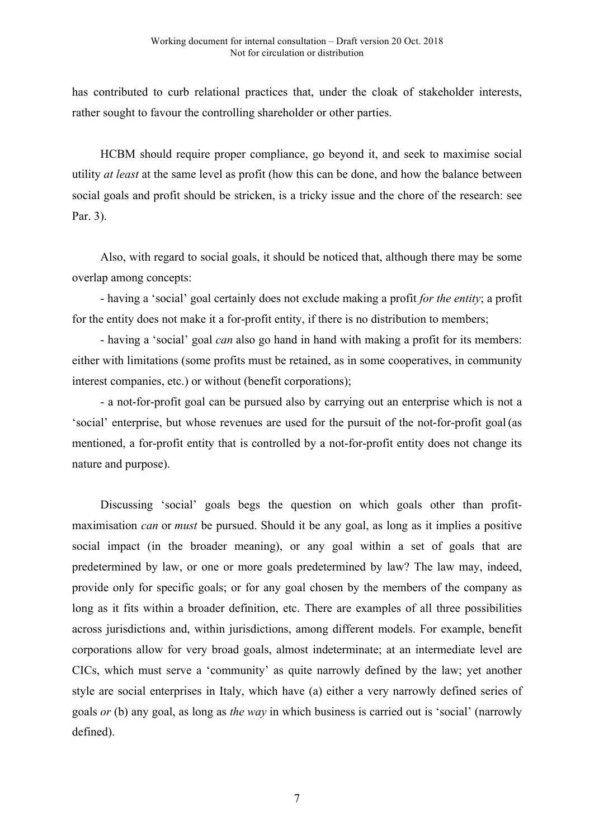has contributed to curb relational practices that, under the cloak of stakeholder interests, rather sought to favour the controlling shareholder or other parties.

HCBM should require proper compliance, go beyond it, and seek to maximise social utility *at least* at the same level as profit (how this can be done, and how the balance between social goals and profit should be stricken, is a tricky issue and the chore of the research: see Par. 3).

Also, with regard to social goals, it should be noticed that, although there may be some overlap among concepts:

- having a 'social' goal certainly does not exclude making a profit *for the entity*; a profit for the entity does not make it a for-profit entity, if there is no distribution to members;

- having a 'social' goal *can* also go hand in hand with making a profit for its members: either with limitations (some profits must be retained, as in some cooperatives, in community interest companies, etc.) or without (benefit corporations);

- a not-for-profit goal can be pursued also by carrying out an enterprise which is not a 'social' enterprise, but whose revenues are used for the pursuit of the not-for-profit goal (as mentioned, a for-profit entity that is controlled by a not-for-profit entity does not change its nature and purpose).

Discussing 'social' goals begs the question on which goals other than profitmaximisation *can* or *must* be pursued. Should it be any goal, as long as it implies a positive social impact (in the broader meaning), or any goal within a set of goals that are predetermined by law, or one or more goals predetermined by law? The law may, indeed, provide only for specific goals; or for any goal chosen by the members of the company as long as it fits within a broader definition, etc. There are examples of all three possibilities across jurisdictions and, within jurisdictions, among different models. For example, benefit corporations allow for very broad goals, almost indeterminate; at an intermediate level are CICs, which must serve a 'community' as quite narrowly defined by the law; yet another style are social enterprises in Italy, which have (a) either a very narrowly defined series of goals *or* (b) any goal, as long as *the way* in which business is carried out is 'social' (narrowly defined).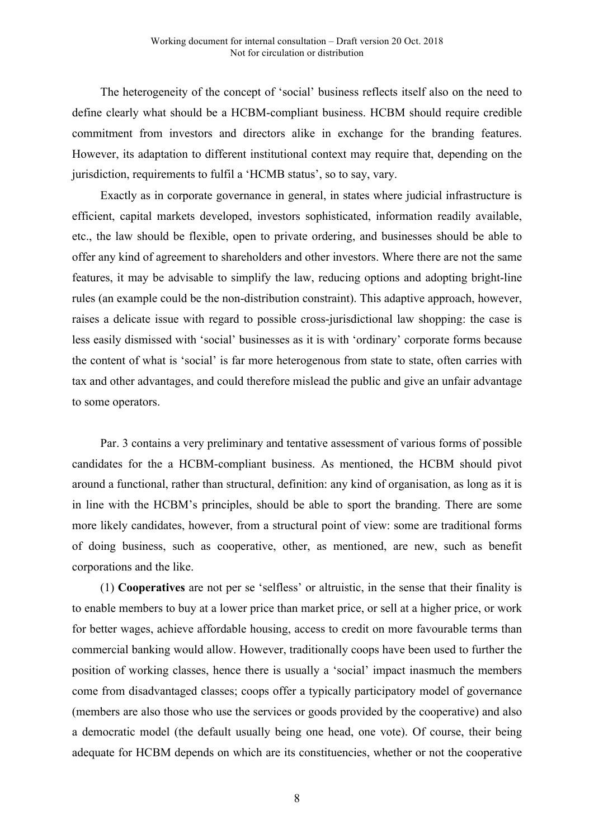The heterogeneity of the concept of 'social' business reflects itself also on the need to define clearly what should be a HCBM-compliant business. HCBM should require credible commitment from investors and directors alike in exchange for the branding features. However, its adaptation to different institutional context may require that, depending on the jurisdiction, requirements to fulfil a 'HCMB status', so to say, vary.

Exactly as in corporate governance in general, in states where judicial infrastructure is efficient, capital markets developed, investors sophisticated, information readily available, etc., the law should be flexible, open to private ordering, and businesses should be able to offer any kind of agreement to shareholders and other investors. Where there are not the same features, it may be advisable to simplify the law, reducing options and adopting bright-line rules (an example could be the non-distribution constraint). This adaptive approach, however, raises a delicate issue with regard to possible cross-jurisdictional law shopping: the case is less easily dismissed with 'social' businesses as it is with 'ordinary' corporate forms because the content of what is 'social' is far more heterogenous from state to state, often carries with tax and other advantages, and could therefore mislead the public and give an unfair advantage to some operators.

Par. 3 contains a very preliminary and tentative assessment of various forms of possible candidates for the a HCBM-compliant business. As mentioned, the HCBM should pivot around a functional, rather than structural, definition: any kind of organisation, as long as it is in line with the HCBM's principles, should be able to sport the branding. There are some more likely candidates, however, from a structural point of view: some are traditional forms of doing business, such as cooperative, other, as mentioned, are new, such as benefit corporations and the like.

(1) **Cooperatives** are not per se 'selfless' or altruistic, in the sense that their finality is to enable members to buy at a lower price than market price, or sell at a higher price, or work for better wages, achieve affordable housing, access to credit on more favourable terms than commercial banking would allow. However, traditionally coops have been used to further the position of working classes, hence there is usually a 'social' impact inasmuch the members come from disadvantaged classes; coops offer a typically participatory model of governance (members are also those who use the services or goods provided by the cooperative) and also a democratic model (the default usually being one head, one vote). Of course, their being adequate for HCBM depends on which are its constituencies, whether or not the cooperative

8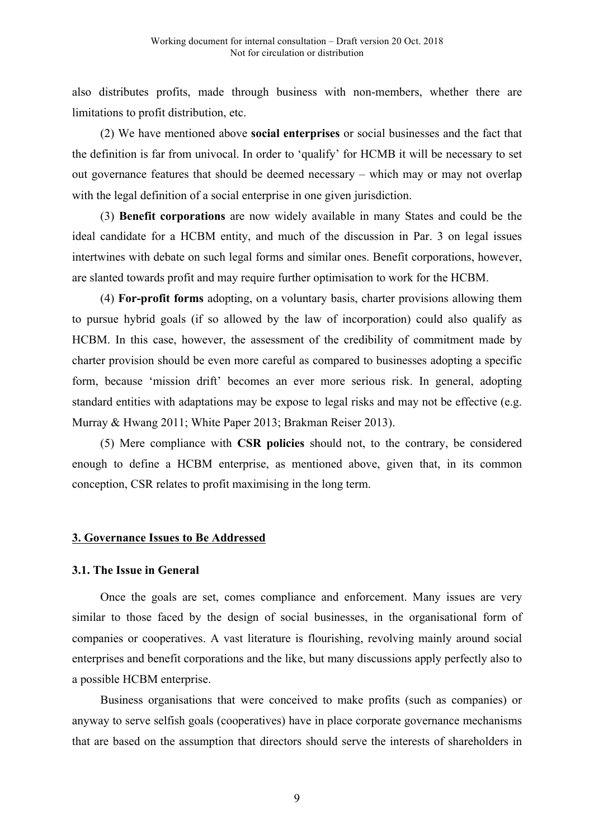also distributes profits, made through business with non-members, whether there are limitations to profit distribution, etc.

(2) We have mentioned above **social enterprises** or social businesses and the fact that the definition is far from univocal. In order to 'qualify' for HCMB it will be necessary to set out governance features that should be deemed necessary – which may or may not overlap with the legal definition of a social enterprise in one given jurisdiction.

(3) **Benefit corporations** are now widely available in many States and could be the ideal candidate for a HCBM entity, and much of the discussion in Par. 3 on legal issues intertwines with debate on such legal forms and similar ones. Benefit corporations, however, are slanted towards profit and may require further optimisation to work for the HCBM.

(4) **For-profit forms** adopting, on a voluntary basis, charter provisions allowing them to pursue hybrid goals (if so allowed by the law of incorporation) could also qualify as HCBM. In this case, however, the assessment of the credibility of commitment made by charter provision should be even more careful as compared to businesses adopting a specific form, because 'mission drift' becomes an ever more serious risk. In general, adopting standard entities with adaptations may be expose to legal risks and may not be effective (e.g. Murray & Hwang 2011; White Paper 2013; Brakman Reiser 2013).

(5) Mere compliance with **CSR policies** should not, to the contrary, be considered enough to define a HCBM enterprise, as mentioned above, given that, in its common conception, CSR relates to profit maximising in the long term.

#### **3. Governance Issues to Be Addressed**

#### **3.1. The Issue in General**

Once the goals are set, comes compliance and enforcement. Many issues are very similar to those faced by the design of social businesses, in the organisational form of companies or cooperatives. A vast literature is flourishing, revolving mainly around social enterprises and benefit corporations and the like, but many discussions apply perfectly also to a possible HCBM enterprise.

Business organisations that were conceived to make profits (such as companies) or anyway to serve selfish goals (cooperatives) have in place corporate governance mechanisms that are based on the assumption that directors should serve the interests of shareholders in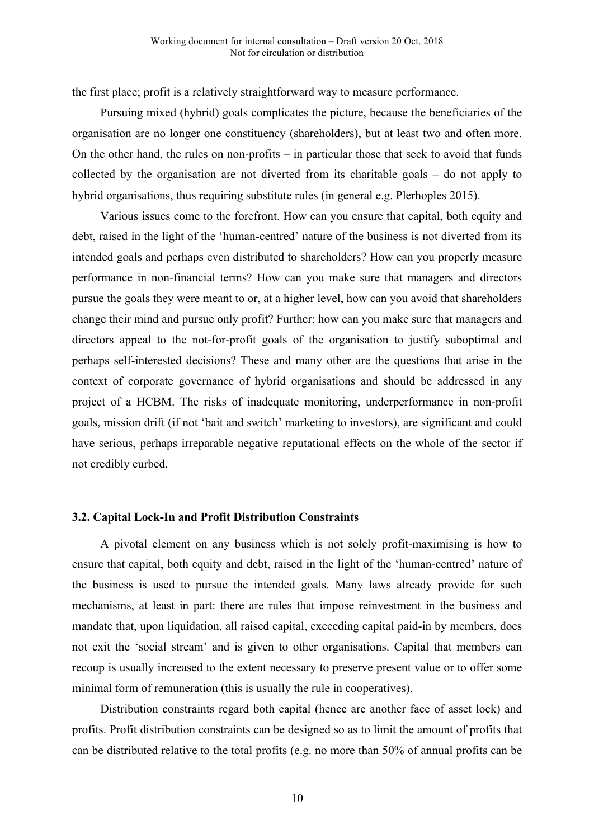the first place; profit is a relatively straightforward way to measure performance.

Pursuing mixed (hybrid) goals complicates the picture, because the beneficiaries of the organisation are no longer one constituency (shareholders), but at least two and often more. On the other hand, the rules on non-profits – in particular those that seek to avoid that funds collected by the organisation are not diverted from its charitable goals – do not apply to hybrid organisations, thus requiring substitute rules (in general e.g. Plerhoples 2015).

Various issues come to the forefront. How can you ensure that capital, both equity and debt, raised in the light of the 'human-centred' nature of the business is not diverted from its intended goals and perhaps even distributed to shareholders? How can you properly measure performance in non-financial terms? How can you make sure that managers and directors pursue the goals they were meant to or, at a higher level, how can you avoid that shareholders change their mind and pursue only profit? Further: how can you make sure that managers and directors appeal to the not-for-profit goals of the organisation to justify suboptimal and perhaps self-interested decisions? These and many other are the questions that arise in the context of corporate governance of hybrid organisations and should be addressed in any project of a HCBM. The risks of inadequate monitoring, underperformance in non-profit goals, mission drift (if not 'bait and switch' marketing to investors), are significant and could have serious, perhaps irreparable negative reputational effects on the whole of the sector if not credibly curbed.

#### **3.2. Capital Lock-In and Profit Distribution Constraints**

A pivotal element on any business which is not solely profit-maximising is how to ensure that capital, both equity and debt, raised in the light of the 'human-centred' nature of the business is used to pursue the intended goals. Many laws already provide for such mechanisms, at least in part: there are rules that impose reinvestment in the business and mandate that, upon liquidation, all raised capital, exceeding capital paid-in by members, does not exit the 'social stream' and is given to other organisations. Capital that members can recoup is usually increased to the extent necessary to preserve present value or to offer some minimal form of remuneration (this is usually the rule in cooperatives).

Distribution constraints regard both capital (hence are another face of asset lock) and profits. Profit distribution constraints can be designed so as to limit the amount of profits that can be distributed relative to the total profits (e.g. no more than 50% of annual profits can be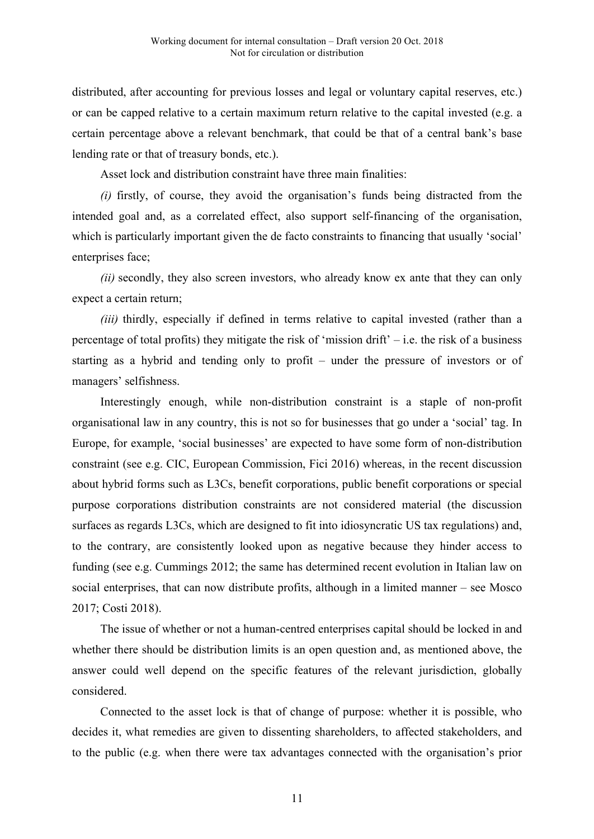distributed, after accounting for previous losses and legal or voluntary capital reserves, etc.) or can be capped relative to a certain maximum return relative to the capital invested (e.g. a certain percentage above a relevant benchmark, that could be that of a central bank's base lending rate or that of treasury bonds, etc.).

Asset lock and distribution constraint have three main finalities:

*(i)* firstly, of course, they avoid the organisation's funds being distracted from the intended goal and, as a correlated effect, also support self-financing of the organisation, which is particularly important given the de facto constraints to financing that usually 'social' enterprises face;

*(ii)* secondly, they also screen investors, who already know ex ante that they can only expect a certain return;

*(iii)* thirdly, especially if defined in terms relative to capital invested (rather than a percentage of total profits) they mitigate the risk of 'mission drift'  $-$  i.e. the risk of a business starting as a hybrid and tending only to profit – under the pressure of investors or of managers' selfishness.

Interestingly enough, while non-distribution constraint is a staple of non-profit organisational law in any country, this is not so for businesses that go under a 'social' tag. In Europe, for example, 'social businesses' are expected to have some form of non-distribution constraint (see e.g. CIC, European Commission, Fici 2016) whereas, in the recent discussion about hybrid forms such as L3Cs, benefit corporations, public benefit corporations or special purpose corporations distribution constraints are not considered material (the discussion surfaces as regards L3Cs, which are designed to fit into idiosyncratic US tax regulations) and, to the contrary, are consistently looked upon as negative because they hinder access to funding (see e.g. Cummings 2012; the same has determined recent evolution in Italian law on social enterprises, that can now distribute profits, although in a limited manner – see Mosco 2017; Costi 2018).

The issue of whether or not a human-centred enterprises capital should be locked in and whether there should be distribution limits is an open question and, as mentioned above, the answer could well depend on the specific features of the relevant jurisdiction, globally considered.

Connected to the asset lock is that of change of purpose: whether it is possible, who decides it, what remedies are given to dissenting shareholders, to affected stakeholders, and to the public (e.g. when there were tax advantages connected with the organisation's prior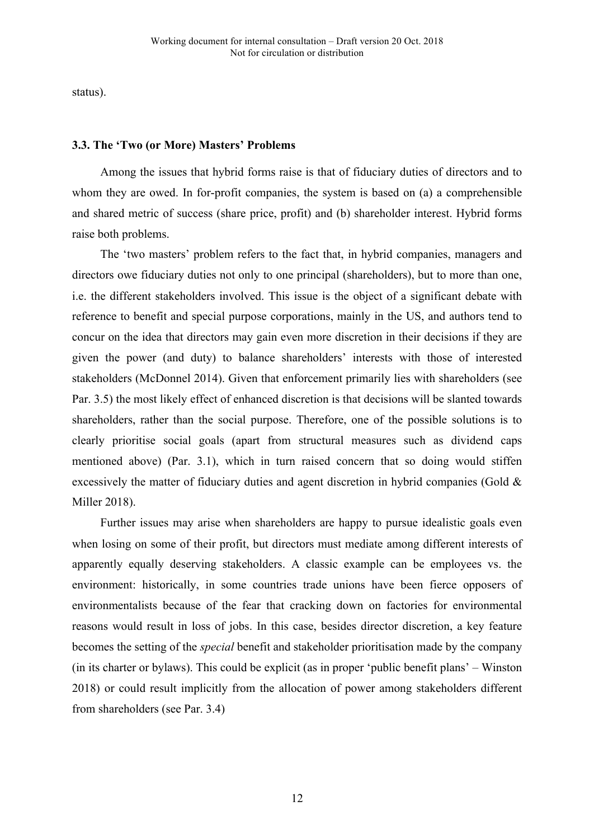status).

### **3.3. The 'Two (or More) Masters' Problems**

Among the issues that hybrid forms raise is that of fiduciary duties of directors and to whom they are owed. In for-profit companies, the system is based on (a) a comprehensible and shared metric of success (share price, profit) and (b) shareholder interest. Hybrid forms raise both problems.

The 'two masters' problem refers to the fact that, in hybrid companies, managers and directors owe fiduciary duties not only to one principal (shareholders), but to more than one, i.e. the different stakeholders involved. This issue is the object of a significant debate with reference to benefit and special purpose corporations, mainly in the US, and authors tend to concur on the idea that directors may gain even more discretion in their decisions if they are given the power (and duty) to balance shareholders' interests with those of interested stakeholders (McDonnel 2014). Given that enforcement primarily lies with shareholders (see Par. 3.5) the most likely effect of enhanced discretion is that decisions will be slanted towards shareholders, rather than the social purpose. Therefore, one of the possible solutions is to clearly prioritise social goals (apart from structural measures such as dividend caps mentioned above) (Par. 3.1), which in turn raised concern that so doing would stiffen excessively the matter of fiduciary duties and agent discretion in hybrid companies (Gold & Miller 2018).

Further issues may arise when shareholders are happy to pursue idealistic goals even when losing on some of their profit, but directors must mediate among different interests of apparently equally deserving stakeholders. A classic example can be employees vs. the environment: historically, in some countries trade unions have been fierce opposers of environmentalists because of the fear that cracking down on factories for environmental reasons would result in loss of jobs. In this case, besides director discretion, a key feature becomes the setting of the *special* benefit and stakeholder prioritisation made by the company (in its charter or bylaws). This could be explicit (as in proper 'public benefit plans' – Winston 2018) or could result implicitly from the allocation of power among stakeholders different from shareholders (see Par. 3.4)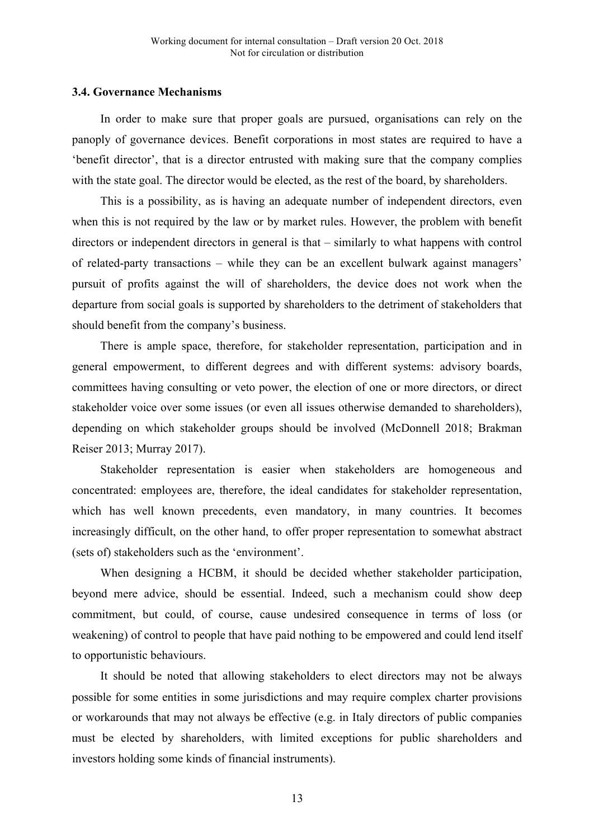#### **3.4. Governance Mechanisms**

In order to make sure that proper goals are pursued, organisations can rely on the panoply of governance devices. Benefit corporations in most states are required to have a 'benefit director', that is a director entrusted with making sure that the company complies with the state goal. The director would be elected, as the rest of the board, by shareholders.

This is a possibility, as is having an adequate number of independent directors, even when this is not required by the law or by market rules. However, the problem with benefit directors or independent directors in general is that – similarly to what happens with control of related-party transactions – while they can be an excellent bulwark against managers' pursuit of profits against the will of shareholders, the device does not work when the departure from social goals is supported by shareholders to the detriment of stakeholders that should benefit from the company's business.

There is ample space, therefore, for stakeholder representation, participation and in general empowerment, to different degrees and with different systems: advisory boards, committees having consulting or veto power, the election of one or more directors, or direct stakeholder voice over some issues (or even all issues otherwise demanded to shareholders), depending on which stakeholder groups should be involved (McDonnell 2018; Brakman Reiser 2013; Murray 2017).

Stakeholder representation is easier when stakeholders are homogeneous and concentrated: employees are, therefore, the ideal candidates for stakeholder representation, which has well known precedents, even mandatory, in many countries. It becomes increasingly difficult, on the other hand, to offer proper representation to somewhat abstract (sets of) stakeholders such as the 'environment'.

When designing a HCBM, it should be decided whether stakeholder participation, beyond mere advice, should be essential. Indeed, such a mechanism could show deep commitment, but could, of course, cause undesired consequence in terms of loss (or weakening) of control to people that have paid nothing to be empowered and could lend itself to opportunistic behaviours.

It should be noted that allowing stakeholders to elect directors may not be always possible for some entities in some jurisdictions and may require complex charter provisions or workarounds that may not always be effective (e.g. in Italy directors of public companies must be elected by shareholders, with limited exceptions for public shareholders and investors holding some kinds of financial instruments).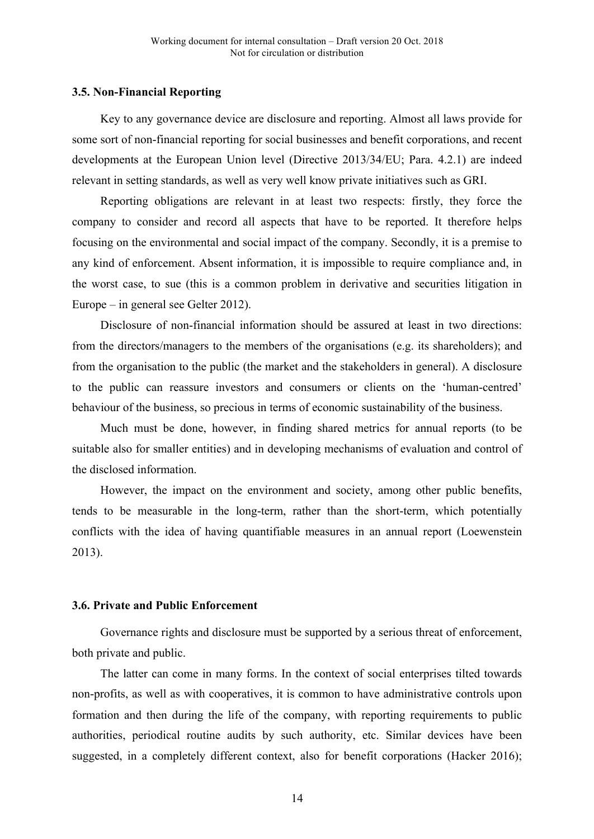#### **3.5. Non-Financial Reporting**

Key to any governance device are disclosure and reporting. Almost all laws provide for some sort of non-financial reporting for social businesses and benefit corporations, and recent developments at the European Union level (Directive 2013/34/EU; Para. 4.2.1) are indeed relevant in setting standards, as well as very well know private initiatives such as GRI.

Reporting obligations are relevant in at least two respects: firstly, they force the company to consider and record all aspects that have to be reported. It therefore helps focusing on the environmental and social impact of the company. Secondly, it is a premise to any kind of enforcement. Absent information, it is impossible to require compliance and, in the worst case, to sue (this is a common problem in derivative and securities litigation in Europe – in general see Gelter 2012).

Disclosure of non-financial information should be assured at least in two directions: from the directors/managers to the members of the organisations (e.g. its shareholders); and from the organisation to the public (the market and the stakeholders in general). A disclosure to the public can reassure investors and consumers or clients on the 'human-centred' behaviour of the business, so precious in terms of economic sustainability of the business.

Much must be done, however, in finding shared metrics for annual reports (to be suitable also for smaller entities) and in developing mechanisms of evaluation and control of the disclosed information.

However, the impact on the environment and society, among other public benefits, tends to be measurable in the long-term, rather than the short-term, which potentially conflicts with the idea of having quantifiable measures in an annual report (Loewenstein 2013).

#### **3.6. Private and Public Enforcement**

Governance rights and disclosure must be supported by a serious threat of enforcement, both private and public.

The latter can come in many forms. In the context of social enterprises tilted towards non-profits, as well as with cooperatives, it is common to have administrative controls upon formation and then during the life of the company, with reporting requirements to public authorities, periodical routine audits by such authority, etc. Similar devices have been suggested, in a completely different context, also for benefit corporations (Hacker 2016);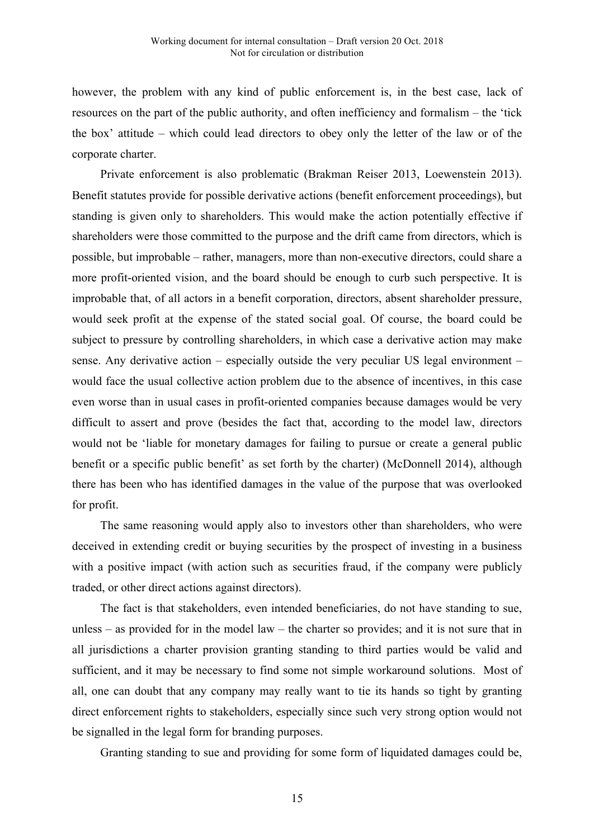however, the problem with any kind of public enforcement is, in the best case, lack of resources on the part of the public authority, and often inefficiency and formalism – the 'tick the box' attitude – which could lead directors to obey only the letter of the law or of the corporate charter.

Private enforcement is also problematic (Brakman Reiser 2013, Loewenstein 2013). Benefit statutes provide for possible derivative actions (benefit enforcement proceedings), but standing is given only to shareholders. This would make the action potentially effective if shareholders were those committed to the purpose and the drift came from directors, which is possible, but improbable – rather, managers, more than non-executive directors, could share a more profit-oriented vision, and the board should be enough to curb such perspective. It is improbable that, of all actors in a benefit corporation, directors, absent shareholder pressure, would seek profit at the expense of the stated social goal. Of course, the board could be subject to pressure by controlling shareholders, in which case a derivative action may make sense. Any derivative action – especially outside the very peculiar US legal environment – would face the usual collective action problem due to the absence of incentives, in this case even worse than in usual cases in profit-oriented companies because damages would be very difficult to assert and prove (besides the fact that, according to the model law, directors would not be 'liable for monetary damages for failing to pursue or create a general public benefit or a specific public benefit' as set forth by the charter) (McDonnell 2014), although there has been who has identified damages in the value of the purpose that was overlooked for profit.

The same reasoning would apply also to investors other than shareholders, who were deceived in extending credit or buying securities by the prospect of investing in a business with a positive impact (with action such as securities fraud, if the company were publicly traded, or other direct actions against directors).

The fact is that stakeholders, even intended beneficiaries, do not have standing to sue, unless – as provided for in the model law – the charter so provides; and it is not sure that in all jurisdictions a charter provision granting standing to third parties would be valid and sufficient, and it may be necessary to find some not simple workaround solutions. Most of all, one can doubt that any company may really want to tie its hands so tight by granting direct enforcement rights to stakeholders, especially since such very strong option would not be signalled in the legal form for branding purposes.

Granting standing to sue and providing for some form of liquidated damages could be,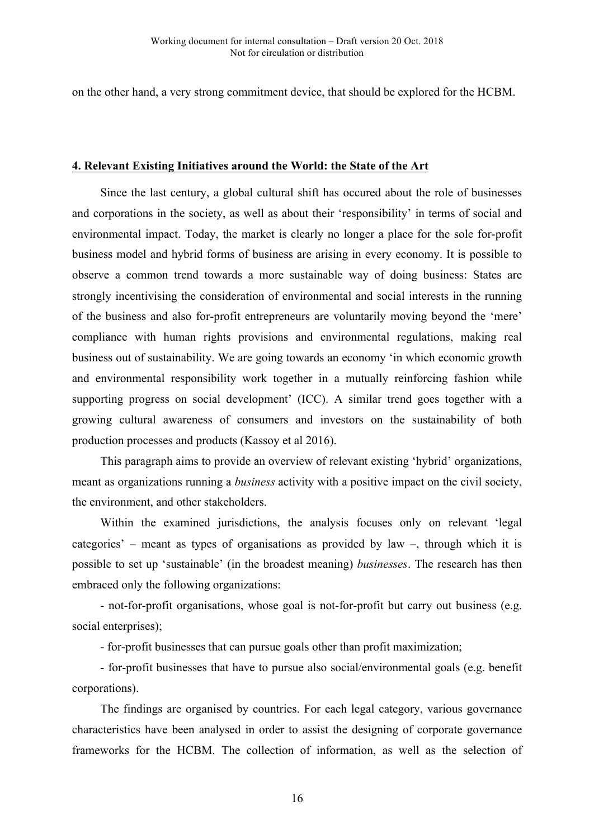on the other hand, a very strong commitment device, that should be explored for the HCBM.

#### **4. Relevant Existing Initiatives around the World: the State of the Art**

Since the last century, a global cultural shift has occured about the role of businesses and corporations in the society, as well as about their 'responsibility' in terms of social and environmental impact. Today, the market is clearly no longer a place for the sole for-profit business model and hybrid forms of business are arising in every economy. It is possible to observe a common trend towards a more sustainable way of doing business: States are strongly incentivising the consideration of environmental and social interests in the running of the business and also for-profit entrepreneurs are voluntarily moving beyond the 'mere' compliance with human rights provisions and environmental regulations, making real business out of sustainability. We are going towards an economy 'in which economic growth and environmental responsibility work together in a mutually reinforcing fashion while supporting progress on social development' (ICC). A similar trend goes together with a growing cultural awareness of consumers and investors on the sustainability of both production processes and products (Kassoy et al 2016).

This paragraph aims to provide an overview of relevant existing 'hybrid' organizations, meant as organizations running a *business* activity with a positive impact on the civil society, the environment, and other stakeholders.

Within the examined jurisdictions, the analysis focuses only on relevant 'legal categories' – meant as types of organisations as provided by law –, through which it is possible to set up 'sustainable' (in the broadest meaning) *businesses*. The research has then embraced only the following organizations:

- not-for-profit organisations, whose goal is not-for-profit but carry out business (e.g. social enterprises);

- for-profit businesses that can pursue goals other than profit maximization;

- for-profit businesses that have to pursue also social/environmental goals (e.g. benefit corporations).

The findings are organised by countries. For each legal category, various governance characteristics have been analysed in order to assist the designing of corporate governance frameworks for the HCBM. The collection of information, as well as the selection of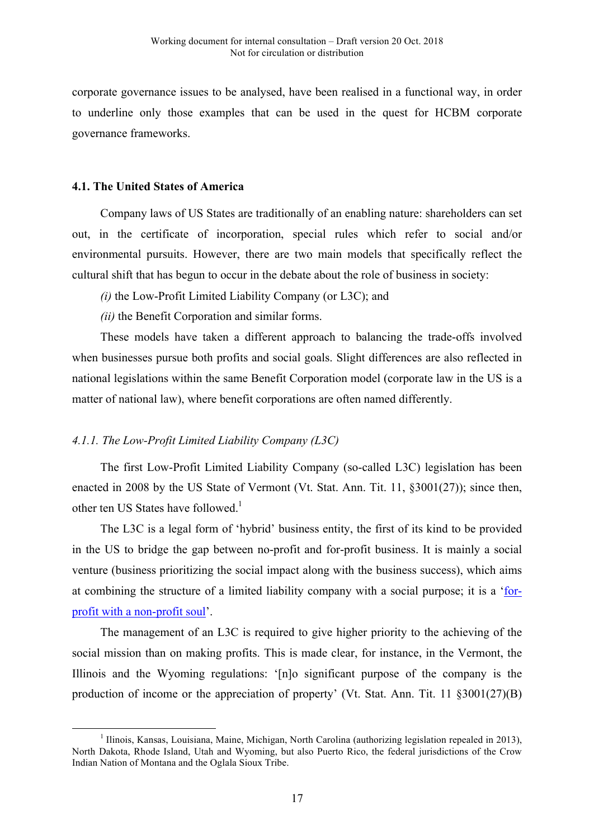corporate governance issues to be analysed, have been realised in a functional way, in order to underline only those examples that can be used in the quest for HCBM corporate governance frameworks.

#### **4.1. The United States of America**

Company laws of US States are traditionally of an enabling nature: shareholders can set out, in the certificate of incorporation, special rules which refer to social and/or environmental pursuits. However, there are two main models that specifically reflect the cultural shift that has begun to occur in the debate about the role of business in society:

- *(i)* the Low-Profit Limited Liability Company (or L3C); and
- *(ii)* the Benefit Corporation and similar forms.

These models have taken a different approach to balancing the trade-offs involved when businesses pursue both profits and social goals. Slight differences are also reflected in national legislations within the same Benefit Corporation model (corporate law in the US is a matter of national law), where benefit corporations are often named differently.

# *4.1.1. The Low-Profit Limited Liability Company (L3C)*

The first Low-Profit Limited Liability Company (so-called L3C) legislation has been enacted in 2008 by the US State of Vermont (Vt. Stat. Ann. Tit. 11, §3001(27)); since then, other ten US States have followed.<sup>1</sup>

The L3C is a legal form of 'hybrid' business entity, the first of its kind to be provided in the US to bridge the gap between no-profit and for-profit business. It is mainly a social venture (business prioritizing the social impact along with the business success), which aims at combining the structure of a limited liability company with a social purpose; it is a 'forprofit with a non-profit soul'.

The management of an L3C is required to give higher priority to the achieving of the social mission than on making profits. This is made clear, for instance, in the Vermont, the Illinois and the Wyoming regulations: '[n]o significant purpose of the company is the production of income or the appreciation of property' (Vt. Stat. Ann. Tit. 11 §3001(27)(B)

 $1$  Ilinois, Kansas, Louisiana, Maine, Michigan, North Carolina (authorizing legislation repealed in 2013), North Dakota, Rhode Island, Utah and Wyoming, but also Puerto Rico, the federal jurisdictions of the Crow Indian Nation of Montana and the Oglala Sioux Tribe.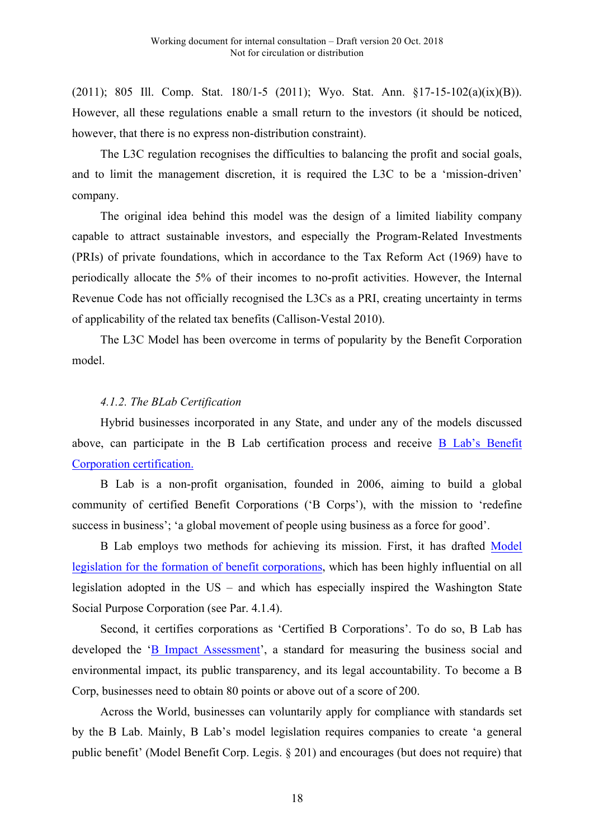(2011); 805 Ill. Comp. Stat. 180/1-5 (2011); Wyo. Stat. Ann. §17-15-102(a)(ix)(B)). However, all these regulations enable a small return to the investors (it should be noticed, however, that there is no express non-distribution constraint).

The L3C regulation recognises the difficulties to balancing the profit and social goals, and to limit the management discretion, it is required the L3C to be a 'mission-driven' company.

The original idea behind this model was the design of a limited liability company capable to attract sustainable investors, and especially the Program-Related Investments (PRIs) of private foundations, which in accordance to the Tax Reform Act (1969) have to periodically allocate the 5% of their incomes to no-profit activities. However, the Internal Revenue Code has not officially recognised the L3Cs as a PRI, creating uncertainty in terms of applicability of the related tax benefits (Callison-Vestal 2010).

The L3C Model has been overcome in terms of popularity by the Benefit Corporation model.

# *4.1.2. The BLab Certification*

Hybrid businesses incorporated in any State, and under any of the models discussed above, can participate in the B Lab certification process and receive B Lab's Benefit Corporation certification.

B Lab is a non-profit organisation, founded in 2006, aiming to build a global community of certified Benefit Corporations ('B Corps'), with the mission to 'redefine success in business'; 'a global movement of people using business as a force for good'.

B Lab employs two methods for achieving its mission. First, it has drafted Model legislation for the formation of benefit corporations, which has been highly influential on all legislation adopted in the US – and which has especially inspired the Washington State Social Purpose Corporation (see Par. 4.1.4).

Second, it certifies corporations as 'Certified B Corporations'. To do so, B Lab has developed the 'B Impact Assessment', a standard for measuring the business social and environmental impact, its public transparency, and its legal accountability. To become a B Corp, businesses need to obtain 80 points or above out of a score of 200.

Across the World, businesses can voluntarily apply for compliance with standards set by the B Lab. Mainly, B Lab's model legislation requires companies to create 'a general public benefit' (Model Benefit Corp. Legis. § 201) and encourages (but does not require) that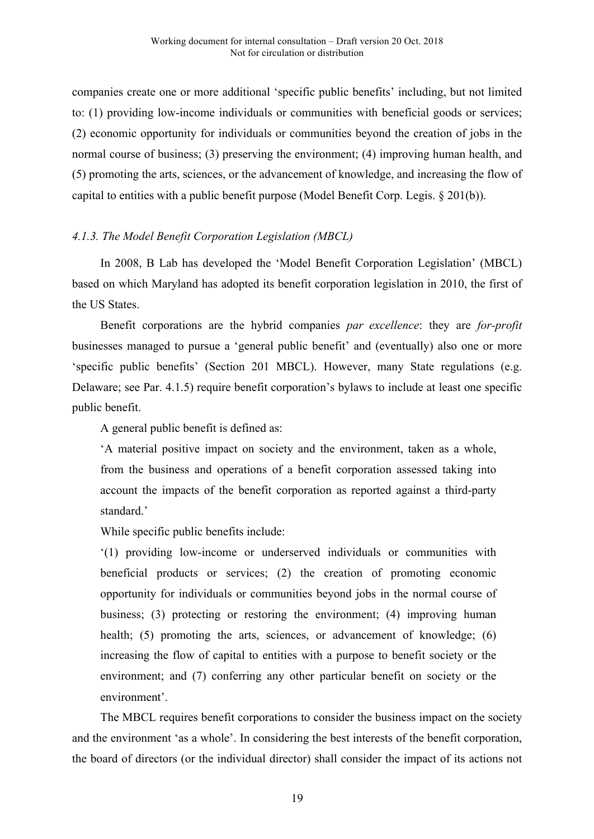companies create one or more additional 'specific public benefits' including, but not limited to: (1) providing low-income individuals or communities with beneficial goods or services; (2) economic opportunity for individuals or communities beyond the creation of jobs in the normal course of business; (3) preserving the environment; (4) improving human health, and (5) promoting the arts, sciences, or the advancement of knowledge, and increasing the flow of capital to entities with a public benefit purpose (Model Benefit Corp. Legis. § 201(b)).

# *4.1.3. The Model Benefit Corporation Legislation (MBCL)*

In 2008, B Lab has developed the 'Model Benefit Corporation Legislation' (MBCL) based on which Maryland has adopted its benefit corporation legislation in 2010, the first of the US States.

Benefit corporations are the hybrid companies *par excellence*: they are *for-profit* businesses managed to pursue a 'general public benefit' and (eventually) also one or more 'specific public benefits' (Section 201 MBCL). However, many State regulations (e.g. Delaware; see Par. 4.1.5) require benefit corporation's bylaws to include at least one specific public benefit.

A general public benefit is defined as:

'A material positive impact on society and the environment, taken as a whole, from the business and operations of a benefit corporation assessed taking into account the impacts of the benefit corporation as reported against a third-party standard.'

While specific public benefits include:

'(1) providing low-income or underserved individuals or communities with beneficial products or services; (2) the creation of promoting economic opportunity for individuals or communities beyond jobs in the normal course of business; (3) protecting or restoring the environment; (4) improving human health; (5) promoting the arts, sciences, or advancement of knowledge; (6) increasing the flow of capital to entities with a purpose to benefit society or the environment; and (7) conferring any other particular benefit on society or the environment'.

The MBCL requires benefit corporations to consider the business impact on the society and the environment 'as a whole'. In considering the best interests of the benefit corporation, the board of directors (or the individual director) shall consider the impact of its actions not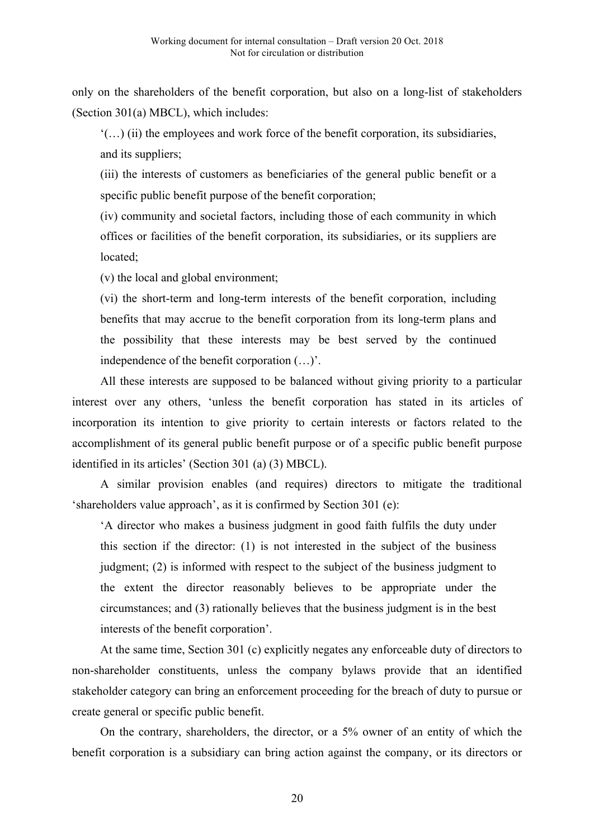only on the shareholders of the benefit corporation, but also on a long-list of stakeholders (Section 301(a) MBCL), which includes:

'(…) (ii) the employees and work force of the benefit corporation, its subsidiaries, and its suppliers;

(iii) the interests of customers as beneficiaries of the general public benefit or a specific public benefit purpose of the benefit corporation;

(iv) community and societal factors, including those of each community in which offices or facilities of the benefit corporation, its subsidiaries, or its suppliers are located;

(v) the local and global environment;

(vi) the short-term and long-term interests of the benefit corporation, including benefits that may accrue to the benefit corporation from its long-term plans and the possibility that these interests may be best served by the continued independence of the benefit corporation (…)'.

All these interests are supposed to be balanced without giving priority to a particular interest over any others, 'unless the benefit corporation has stated in its articles of incorporation its intention to give priority to certain interests or factors related to the accomplishment of its general public benefit purpose or of a specific public benefit purpose identified in its articles' (Section 301 (a) (3) MBCL).

A similar provision enables (and requires) directors to mitigate the traditional 'shareholders value approach', as it is confirmed by Section 301 (e):

'A director who makes a business judgment in good faith fulfils the duty under this section if the director: (1) is not interested in the subject of the business judgment; (2) is informed with respect to the subject of the business judgment to the extent the director reasonably believes to be appropriate under the circumstances; and (3) rationally believes that the business judgment is in the best interests of the benefit corporation'.

At the same time, Section 301 (c) explicitly negates any enforceable duty of directors to non-shareholder constituents, unless the company bylaws provide that an identified stakeholder category can bring an enforcement proceeding for the breach of duty to pursue or create general or specific public benefit.

On the contrary, shareholders, the director, or a 5% owner of an entity of which the benefit corporation is a subsidiary can bring action against the company, or its directors or

20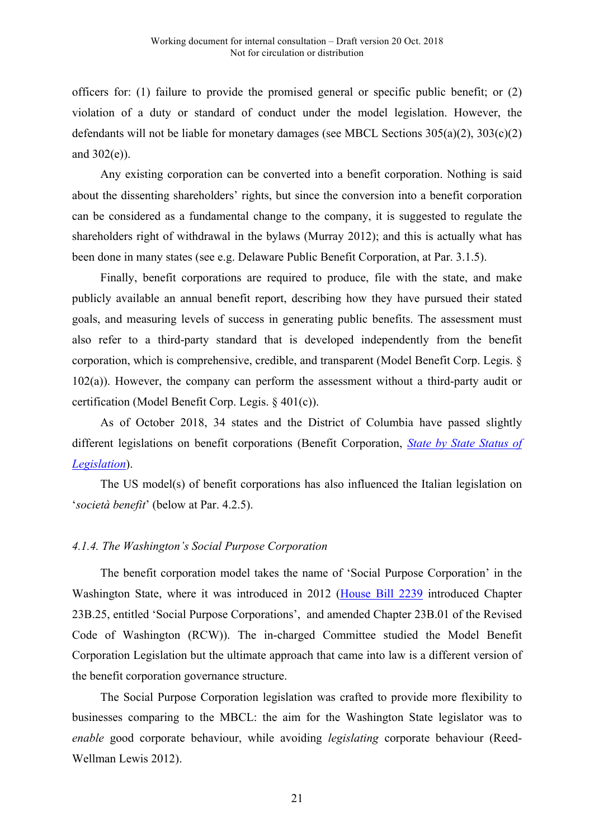officers for: (1) failure to provide the promised general or specific public benefit; or (2) violation of a duty or standard of conduct under the model legislation. However, the defendants will not be liable for monetary damages (see MBCL Sections 305(a)(2), 303(c)(2) and 302(e)).

Any existing corporation can be converted into a benefit corporation. Nothing is said about the dissenting shareholders' rights, but since the conversion into a benefit corporation can be considered as a fundamental change to the company, it is suggested to regulate the shareholders right of withdrawal in the bylaws (Murray 2012); and this is actually what has been done in many states (see e.g. Delaware Public Benefit Corporation, at Par. 3.1.5).

Finally, benefit corporations are required to produce, file with the state, and make publicly available an annual benefit report, describing how they have pursued their stated goals, and measuring levels of success in generating public benefits. The assessment must also refer to a third-party standard that is developed independently from the benefit corporation, which is comprehensive, credible, and transparent (Model Benefit Corp. Legis. § 102(a)). However, the company can perform the assessment without a third-party audit or certification (Model Benefit Corp. Legis. § 401(c)).

As of October 2018, 34 states and the District of Columbia have passed slightly different legislations on benefit corporations (Benefit Corporation, *State by State Status of Legislation*).

The US model(s) of benefit corporations has also influenced the Italian legislation on '*società benefit*' (below at Par. 4.2.5).

# *4.1.4. The Washington's Social Purpose Corporation*

The benefit corporation model takes the name of 'Social Purpose Corporation' in the Washington State, where it was introduced in 2012 (House Bill 2239 introduced Chapter 23B.25, entitled 'Social Purpose Corporations', and amended Chapter 23B.01 of the Revised Code of Washington (RCW)). The in-charged Committee studied the Model Benefit Corporation Legislation but the ultimate approach that came into law is a different version of the benefit corporation governance structure.

The Social Purpose Corporation legislation was crafted to provide more flexibility to businesses comparing to the MBCL: the aim for the Washington State legislator was to *enable* good corporate behaviour, while avoiding *legislating* corporate behaviour (Reed-Wellman Lewis 2012).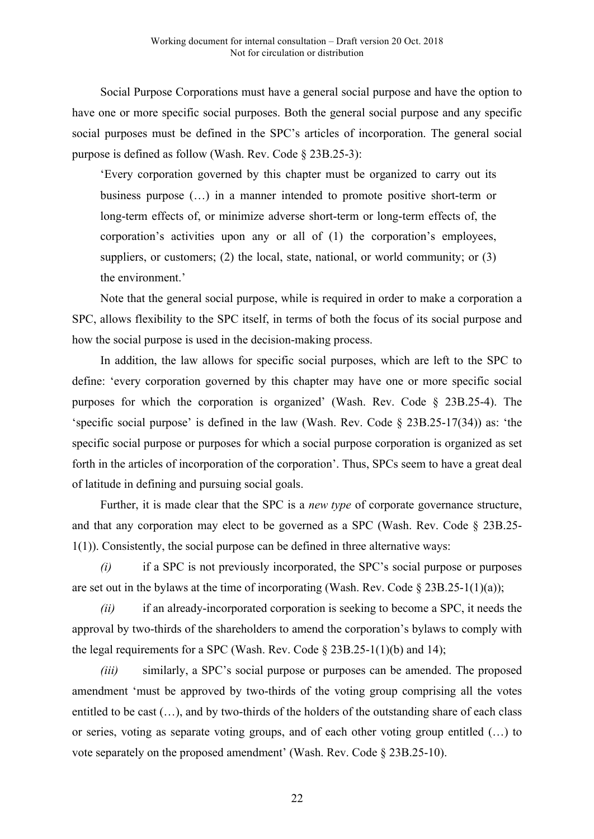Social Purpose Corporations must have a general social purpose and have the option to have one or more specific social purposes. Both the general social purpose and any specific social purposes must be defined in the SPC's articles of incorporation. The general social purpose is defined as follow (Wash. Rev. Code § 23B.25-3):

'Every corporation governed by this chapter must be organized to carry out its business purpose (…) in a manner intended to promote positive short-term or long-term effects of, or minimize adverse short-term or long-term effects of, the corporation's activities upon any or all of (1) the corporation's employees, suppliers, or customers; (2) the local, state, national, or world community; or (3) the environment.'

Note that the general social purpose, while is required in order to make a corporation a SPC, allows flexibility to the SPC itself, in terms of both the focus of its social purpose and how the social purpose is used in the decision-making process.

In addition, the law allows for specific social purposes, which are left to the SPC to define: 'every corporation governed by this chapter may have one or more specific social purposes for which the corporation is organized' (Wash. Rev. Code § 23B.25-4). The 'specific social purpose' is defined in the law (Wash. Rev. Code § 23B.25-17(34)) as: 'the specific social purpose or purposes for which a social purpose corporation is organized as set forth in the articles of incorporation of the corporation'. Thus, SPCs seem to have a great deal of latitude in defining and pursuing social goals.

Further, it is made clear that the SPC is a *new type* of corporate governance structure, and that any corporation may elect to be governed as a SPC (Wash. Rev. Code § 23B.25- 1(1)). Consistently, the social purpose can be defined in three alternative ways:

*(i)* if a SPC is not previously incorporated, the SPC's social purpose or purposes are set out in the bylaws at the time of incorporating (Wash. Rev. Code  $\S 23B.25-1(1)(a)$ );

*(ii)* if an already-incorporated corporation is seeking to become a SPC, it needs the approval by two-thirds of the shareholders to amend the corporation's bylaws to comply with the legal requirements for a SPC (Wash. Rev. Code  $\S 23B.25-1(1)(b)$  and 14);

*(iii)* similarly, a SPC's social purpose or purposes can be amended. The proposed amendment 'must be approved by two-thirds of the voting group comprising all the votes entitled to be cast (…), and by two-thirds of the holders of the outstanding share of each class or series, voting as separate voting groups, and of each other voting group entitled (…) to vote separately on the proposed amendment' (Wash. Rev. Code § 23B.25-10).

22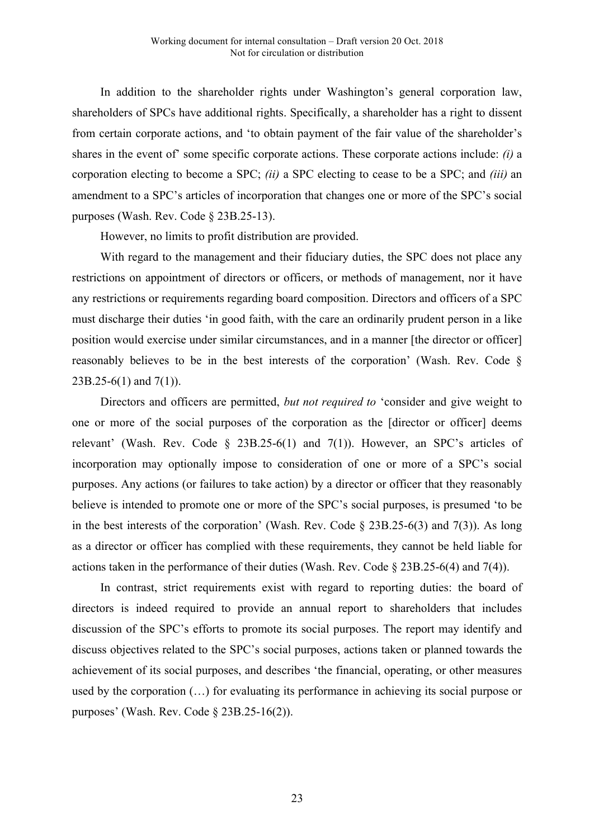In addition to the shareholder rights under Washington's general corporation law, shareholders of SPCs have additional rights. Specifically, a shareholder has a right to dissent from certain corporate actions, and 'to obtain payment of the fair value of the shareholder's shares in the event of' some specific corporate actions. These corporate actions include: *(i)* a corporation electing to become a SPC; *(ii)* a SPC electing to cease to be a SPC; and *(iii)* an amendment to a SPC's articles of incorporation that changes one or more of the SPC's social purposes (Wash. Rev. Code § 23B.25-13).

However, no limits to profit distribution are provided.

With regard to the management and their fiduciary duties, the SPC does not place any restrictions on appointment of directors or officers, or methods of management, nor it have any restrictions or requirements regarding board composition. Directors and officers of a SPC must discharge their duties 'in good faith, with the care an ordinarily prudent person in a like position would exercise under similar circumstances, and in a manner [the director or officer] reasonably believes to be in the best interests of the corporation' (Wash. Rev. Code §  $23B.25-6(1)$  and  $7(1)$ ).

Directors and officers are permitted, *but not required to* 'consider and give weight to one or more of the social purposes of the corporation as the [director or officer] deems relevant' (Wash. Rev. Code  $\S$  23B.25-6(1) and 7(1)). However, an SPC's articles of incorporation may optionally impose to consideration of one or more of a SPC's social purposes. Any actions (or failures to take action) by a director or officer that they reasonably believe is intended to promote one or more of the SPC's social purposes, is presumed 'to be in the best interests of the corporation' (Wash. Rev. Code  $\S$  23B.25-6(3) and 7(3)). As long as a director or officer has complied with these requirements, they cannot be held liable for actions taken in the performance of their duties (Wash. Rev. Code § 23B.25-6(4) and 7(4)).

In contrast, strict requirements exist with regard to reporting duties: the board of directors is indeed required to provide an annual report to shareholders that includes discussion of the SPC's efforts to promote its social purposes. The report may identify and discuss objectives related to the SPC's social purposes, actions taken or planned towards the achievement of its social purposes, and describes 'the financial, operating, or other measures used by the corporation (…) for evaluating its performance in achieving its social purpose or purposes' (Wash. Rev. Code § 23B.25-16(2)).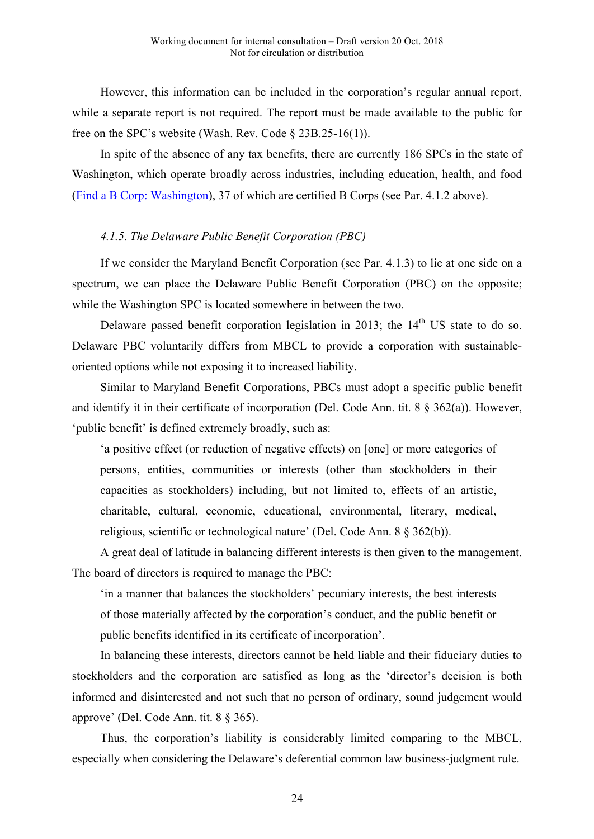However, this information can be included in the corporation's regular annual report, while a separate report is not required. The report must be made available to the public for free on the SPC's website (Wash. Rev. Code § 23B.25-16(1)).

In spite of the absence of any tax benefits, there are currently 186 SPCs in the state of Washington, which operate broadly across industries, including education, health, and food (Find a B Corp: Washington), 37 of which are certified B Corps (see Par. 4.1.2 above).

# *4.1.5. The Delaware Public Benefit Corporation (PBC)*

If we consider the Maryland Benefit Corporation (see Par. 4.1.3) to lie at one side on a spectrum, we can place the Delaware Public Benefit Corporation (PBC) on the opposite; while the Washington SPC is located somewhere in between the two.

Delaware passed benefit corporation legislation in 2013; the  $14<sup>th</sup>$  US state to do so. Delaware PBC voluntarily differs from MBCL to provide a corporation with sustainableoriented options while not exposing it to increased liability.

Similar to Maryland Benefit Corporations, PBCs must adopt a specific public benefit and identify it in their certificate of incorporation (Del. Code Ann. tit. 8 § 362(a)). However, 'public benefit' is defined extremely broadly, such as:

'a positive effect (or reduction of negative effects) on [one] or more categories of persons, entities, communities or interests (other than stockholders in their capacities as stockholders) including, but not limited to, effects of an artistic, charitable, cultural, economic, educational, environmental, literary, medical, religious, scientific or technological nature' (Del. Code Ann. 8 § 362(b)).

A great deal of latitude in balancing different interests is then given to the management. The board of directors is required to manage the PBC:

'in a manner that balances the stockholders' pecuniary interests, the best interests of those materially affected by the corporation's conduct, and the public benefit or public benefits identified in its certificate of incorporation'.

In balancing these interests, directors cannot be held liable and their fiduciary duties to stockholders and the corporation are satisfied as long as the 'director's decision is both informed and disinterested and not such that no person of ordinary, sound judgement would approve' (Del. Code Ann. tit. 8 § 365).

Thus, the corporation's liability is considerably limited comparing to the MBCL, especially when considering the Delaware's deferential common law business-judgment rule.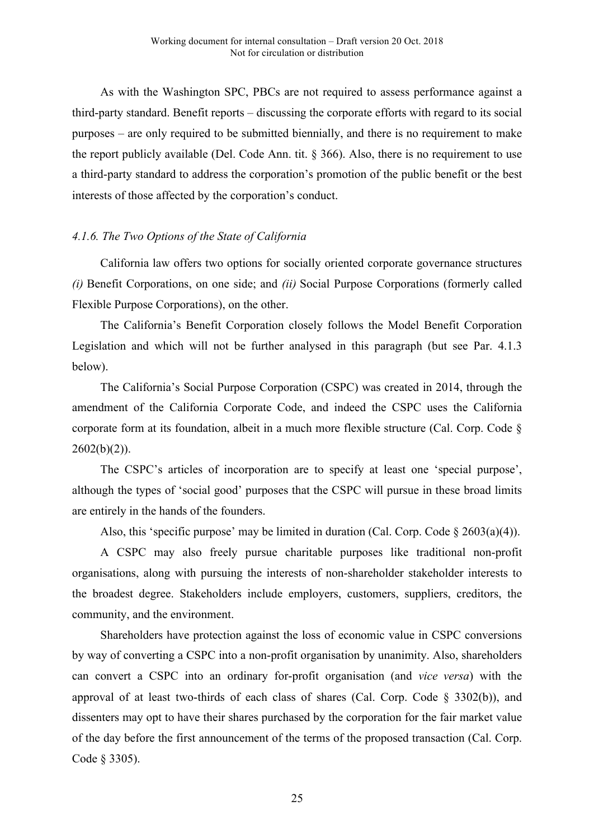As with the Washington SPC, PBCs are not required to assess performance against a third-party standard. Benefit reports – discussing the corporate efforts with regard to its social purposes – are only required to be submitted biennially, and there is no requirement to make the report publicly available (Del. Code Ann. tit. § 366). Also, there is no requirement to use a third-party standard to address the corporation's promotion of the public benefit or the best interests of those affected by the corporation's conduct.

# *4.1.6. The Two Options of the State of California*

California law offers two options for socially oriented corporate governance structures *(i)* Benefit Corporations, on one side; and *(ii)* Social Purpose Corporations (formerly called Flexible Purpose Corporations), on the other.

The California's Benefit Corporation closely follows the Model Benefit Corporation Legislation and which will not be further analysed in this paragraph (but see Par. 4.1.3 below).

The California's Social Purpose Corporation (CSPC) was created in 2014, through the amendment of the California Corporate Code, and indeed the CSPC uses the California corporate form at its foundation, albeit in a much more flexible structure (Cal. Corp. Code §  $2602(b)(2)$ ).

The CSPC's articles of incorporation are to specify at least one 'special purpose', although the types of 'social good' purposes that the CSPC will pursue in these broad limits are entirely in the hands of the founders.

Also, this 'specific purpose' may be limited in duration (Cal. Corp. Code  $\S 2603(a)(4)$ ).

A CSPC may also freely pursue charitable purposes like traditional non-profit organisations, along with pursuing the interests of non-shareholder stakeholder interests to the broadest degree. Stakeholders include employers, customers, suppliers, creditors, the community, and the environment.

Shareholders have protection against the loss of economic value in CSPC conversions by way of converting a CSPC into a non-profit organisation by unanimity. Also, shareholders can convert a CSPC into an ordinary for-profit organisation (and *vice versa*) with the approval of at least two-thirds of each class of shares (Cal. Corp. Code § 3302(b)), and dissenters may opt to have their shares purchased by the corporation for the fair market value of the day before the first announcement of the terms of the proposed transaction (Cal. Corp. Code § 3305).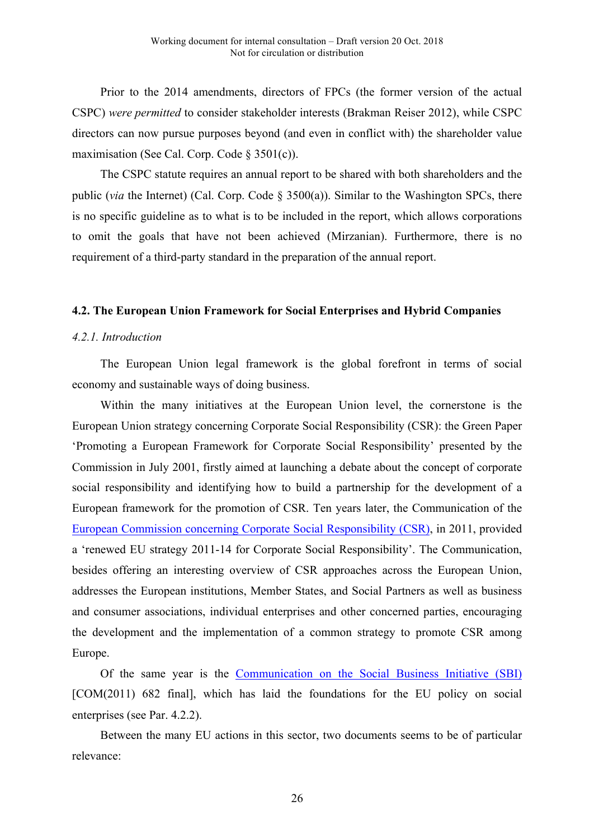Prior to the 2014 amendments, directors of FPCs (the former version of the actual CSPC) *were permitted* to consider stakeholder interests (Brakman Reiser 2012), while CSPC directors can now pursue purposes beyond (and even in conflict with) the shareholder value maximisation (See Cal. Corp. Code § 3501(c)).

The CSPC statute requires an annual report to be shared with both shareholders and the public (*via* the Internet) (Cal. Corp. Code § 3500(a)). Similar to the Washington SPCs, there is no specific guideline as to what is to be included in the report, which allows corporations to omit the goals that have not been achieved (Mirzanian). Furthermore, there is no requirement of a third-party standard in the preparation of the annual report.

#### **4.2. The European Union Framework for Social Enterprises and Hybrid Companies**

#### *4.2.1. Introduction*

The European Union legal framework is the global forefront in terms of social economy and sustainable ways of doing business.

Within the many initiatives at the European Union level, the cornerstone is the European Union strategy concerning Corporate Social Responsibility (CSR): the Green Paper 'Promoting a European Framework for Corporate Social Responsibility' presented by the Commission in July 2001, firstly aimed at launching a debate about the concept of corporate social responsibility and identifying how to build a partnership for the development of a European framework for the promotion of CSR. Ten years later, the Communication of the European Commission concerning Corporate Social Responsibility (CSR), in 2011, provided a 'renewed EU strategy 2011-14 for Corporate Social Responsibility'. The Communication, besides offering an interesting overview of CSR approaches across the European Union, addresses the European institutions, Member States, and Social Partners as well as business and consumer associations, individual enterprises and other concerned parties, encouraging the development and the implementation of a common strategy to promote CSR among Europe.

Of the same year is the Communication on the Social Business Initiative (SBI) [COM(2011) 682 final], which has laid the foundations for the EU policy on social enterprises (see Par. 4.2.2).

Between the many EU actions in this sector, two documents seems to be of particular relevance: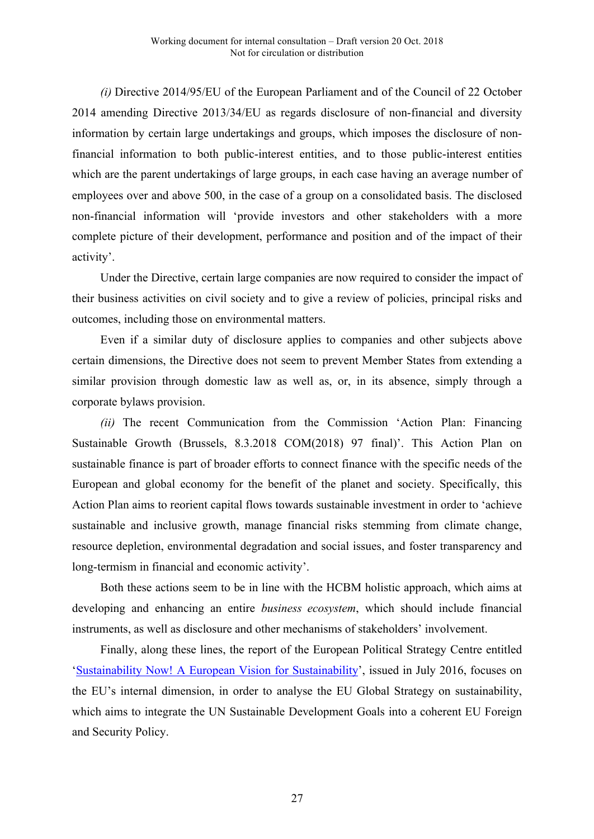*(i)* Directive 2014/95/EU of the European Parliament and of the Council of 22 October 2014 amending Directive 2013/34/EU as regards disclosure of non-financial and diversity information by certain large undertakings and groups, which imposes the disclosure of nonfinancial information to both public-interest entities, and to those public-interest entities which are the parent undertakings of large groups, in each case having an average number of employees over and above 500, in the case of a group on a consolidated basis. The disclosed non-financial information will 'provide investors and other stakeholders with a more complete picture of their development, performance and position and of the impact of their activity'.

Under the Directive, certain large companies are now required to consider the impact of their business activities on civil society and to give a review of policies, principal risks and outcomes, including those on environmental matters.

Even if a similar duty of disclosure applies to companies and other subjects above certain dimensions, the Directive does not seem to prevent Member States from extending a similar provision through domestic law as well as, or, in its absence, simply through a corporate bylaws provision.

*(ii)* The recent Communication from the Commission 'Action Plan: Financing Sustainable Growth (Brussels, 8.3.2018 COM(2018) 97 final)'. This Action Plan on sustainable finance is part of broader efforts to connect finance with the specific needs of the European and global economy for the benefit of the planet and society. Specifically, this Action Plan aims to reorient capital flows towards sustainable investment in order to 'achieve sustainable and inclusive growth, manage financial risks stemming from climate change, resource depletion, environmental degradation and social issues, and foster transparency and long-termism in financial and economic activity'.

Both these actions seem to be in line with the HCBM holistic approach, which aims at developing and enhancing an entire *business ecosystem*, which should include financial instruments, as well as disclosure and other mechanisms of stakeholders' involvement.

Finally, along these lines, the report of the European Political Strategy Centre entitled 'Sustainability Now! A European Vision for Sustainability', issued in July 2016, focuses on the EU's internal dimension, in order to analyse the EU Global Strategy on sustainability, which aims to integrate the UN Sustainable Development Goals into a coherent EU Foreign and Security Policy.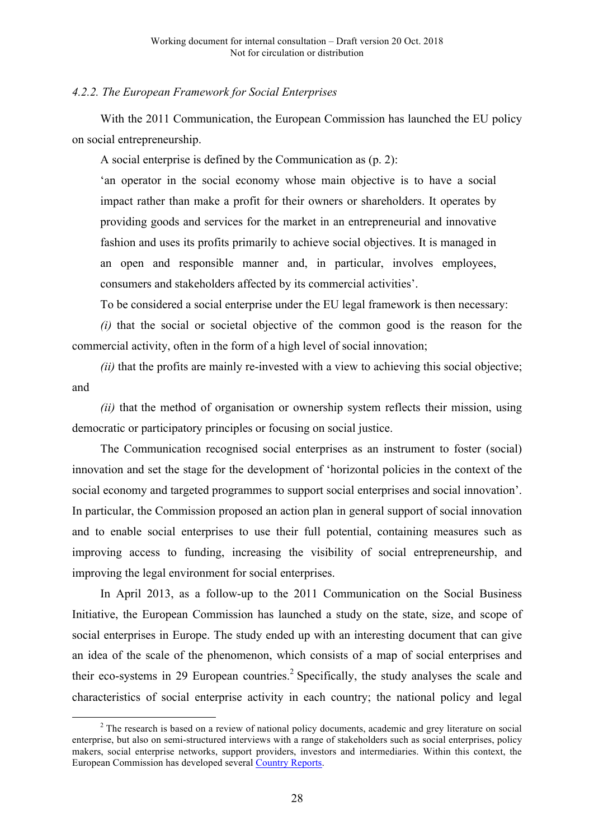#### *4.2.2. The European Framework for Social Enterprises*

With the 2011 Communication, the European Commission has launched the EU policy on social entrepreneurship.

A social enterprise is defined by the Communication as (p. 2):

'an operator in the social economy whose main objective is to have a social impact rather than make a profit for their owners or shareholders. It operates by providing goods and services for the market in an entrepreneurial and innovative fashion and uses its profits primarily to achieve social objectives. It is managed in an open and responsible manner and, in particular, involves employees, consumers and stakeholders affected by its commercial activities'.

To be considered a social enterprise under the EU legal framework is then necessary:

*(i)* that the social or societal objective of the common good is the reason for the commercial activity, often in the form of a high level of social innovation;

*(ii)* that the profits are mainly re-invested with a view to achieving this social objective; and

*(ii)* that the method of organisation or ownership system reflects their mission, using democratic or participatory principles or focusing on social justice.

The Communication recognised social enterprises as an instrument to foster (social) innovation and set the stage for the development of 'horizontal policies in the context of the social economy and targeted programmes to support social enterprises and social innovation'. In particular, the Commission proposed an action plan in general support of social innovation and to enable social enterprises to use their full potential, containing measures such as improving access to funding, increasing the visibility of social entrepreneurship, and improving the legal environment for social enterprises.

In April 2013, as a follow-up to the 2011 Communication on the Social Business Initiative, the European Commission has launched a study on the state, size, and scope of social enterprises in Europe. The study ended up with an interesting document that can give an idea of the scale of the phenomenon, which consists of a map of social enterprises and their eco-systems in 29 European countries.<sup>2</sup> Specifically, the study analyses the scale and characteristics of social enterprise activity in each country; the national policy and legal

<sup>&</sup>lt;sup>2</sup> The research is based on a review of national policy documents, academic and grey literature on social enterprise, but also on semi-structured interviews with a range of stakeholders such as social enterprises, policy makers, social enterprise networks, support providers, investors and intermediaries. Within this context, the European Commission has developed several Country Reports.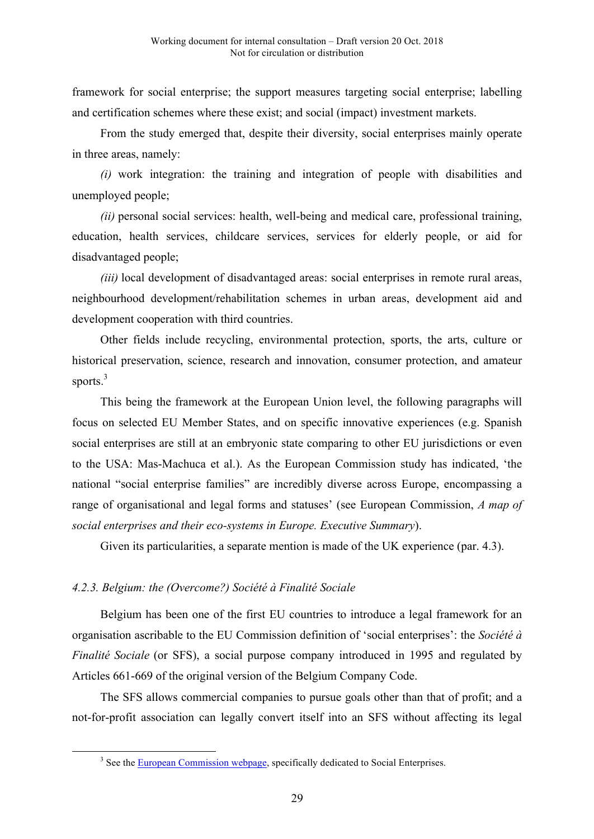framework for social enterprise; the support measures targeting social enterprise; labelling and certification schemes where these exist; and social (impact) investment markets.

From the study emerged that, despite their diversity, social enterprises mainly operate in three areas, namely:

*(i)* work integration: the training and integration of people with disabilities and unemployed people;

*(ii)* personal social services: health, well-being and medical care, professional training, education, health services, childcare services, services for elderly people, or aid for disadvantaged people;

*(iii)* local development of disadvantaged areas: social enterprises in remote rural areas, neighbourhood development/rehabilitation schemes in urban areas, development aid and development cooperation with third countries.

Other fields include recycling, environmental protection, sports, the arts, culture or historical preservation, science, research and innovation, consumer protection, and amateur sports.<sup>3</sup>

This being the framework at the European Union level, the following paragraphs will focus on selected EU Member States, and on specific innovative experiences (e.g. Spanish social enterprises are still at an embryonic state comparing to other EU jurisdictions or even to the USA: Mas-Machuca et al.). As the European Commission study has indicated, 'the national "social enterprise families" are incredibly diverse across Europe, encompassing a range of organisational and legal forms and statuses' (see European Commission, *A map of social enterprises and their eco-systems in Europe. Executive Summary*).

Given its particularities, a separate mention is made of the UK experience (par. 4.3).

# *4.2.3. Belgium: the (Overcome?) Société à Finalité Sociale*

Belgium has been one of the first EU countries to introduce a legal framework for an organisation ascribable to the EU Commission definition of 'social enterprises': the *Société à Finalité Sociale* (or SFS), a social purpose company introduced in 1995 and regulated by Articles 661-669 of the original version of the Belgium Company Code.

The SFS allows commercial companies to pursue goals other than that of profit; and a not-for-profit association can legally convert itself into an SFS without affecting its legal

<sup>&</sup>lt;sup>3</sup> See the European Commission webpage, specifically dedicated to Social Enterprises.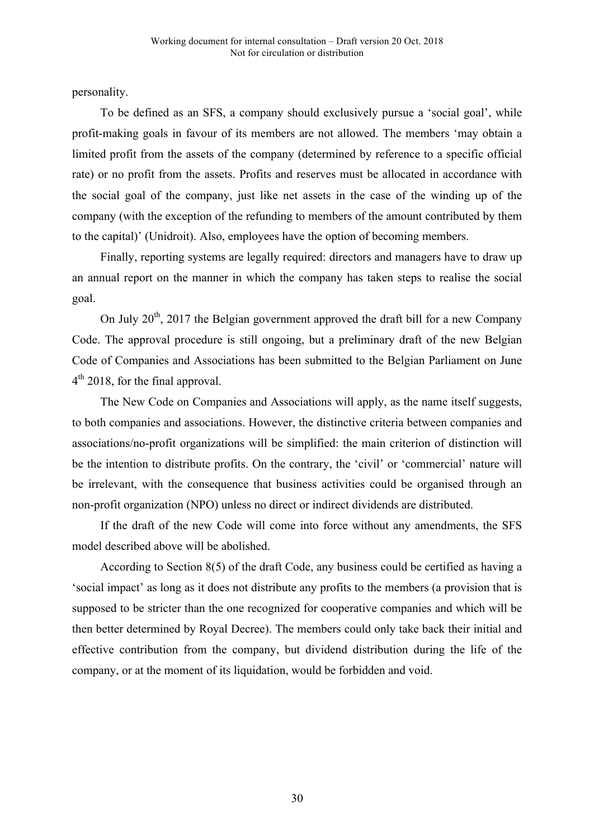personality.

To be defined as an SFS, a company should exclusively pursue a 'social goal', while profit-making goals in favour of its members are not allowed. The members 'may obtain a limited profit from the assets of the company (determined by reference to a specific official rate) or no profit from the assets. Profits and reserves must be allocated in accordance with the social goal of the company, just like net assets in the case of the winding up of the company (with the exception of the refunding to members of the amount contributed by them to the capital)' (Unidroit). Also, employees have the option of becoming members.

Finally, reporting systems are legally required: directors and managers have to draw up an annual report on the manner in which the company has taken steps to realise the social goal.

On July  $20<sup>th</sup>$ , 2017 the Belgian government approved the draft bill for a new Company Code. The approval procedure is still ongoing, but a preliminary draft of the new Belgian Code of Companies and Associations has been submitted to the Belgian Parliament on June  $4<sup>th</sup>$  2018, for the final approval.

The New Code on Companies and Associations will apply, as the name itself suggests, to both companies and associations. However, the distinctive criteria between companies and associations/no-profit organizations will be simplified: the main criterion of distinction will be the intention to distribute profits. On the contrary, the 'civil' or 'commercial' nature will be irrelevant, with the consequence that business activities could be organised through an non-profit organization (NPO) unless no direct or indirect dividends are distributed.

If the draft of the new Code will come into force without any amendments, the SFS model described above will be abolished.

According to Section 8(5) of the draft Code, any business could be certified as having a 'social impact' as long as it does not distribute any profits to the members (a provision that is supposed to be stricter than the one recognized for cooperative companies and which will be then better determined by Royal Decree). The members could only take back their initial and effective contribution from the company, but dividend distribution during the life of the company, or at the moment of its liquidation, would be forbidden and void.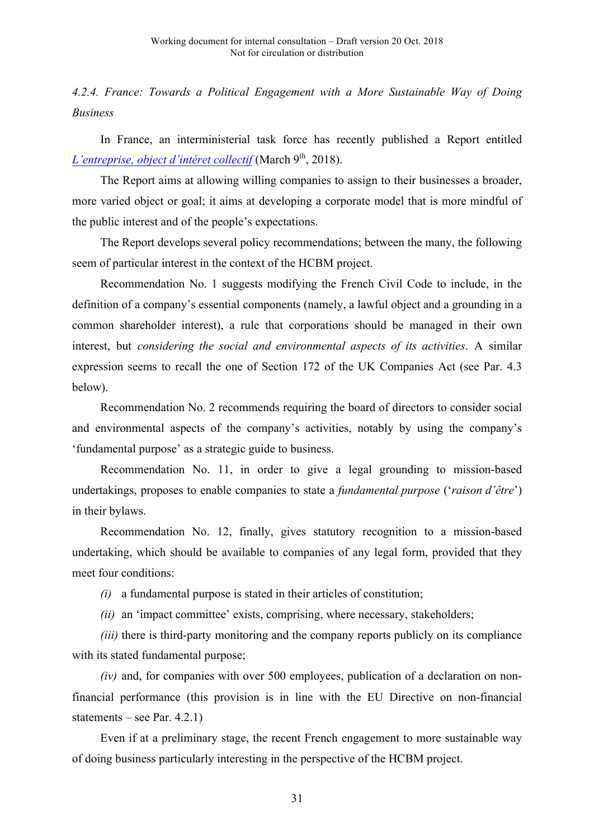*4.2.4. France: Towards a Political Engagement with a More Sustainable Way of Doing Business*

In France, an interministerial task force has recently published a Report entitled *L'entreprise, object d'intéret collectif* (March 9<sup>th</sup>, 2018).

The Report aims at allowing willing companies to assign to their businesses a broader, more varied object or goal; it aims at developing a corporate model that is more mindful of the public interest and of the people's expectations.

The Report develops several policy recommendations; between the many, the following seem of particular interest in the context of the HCBM project.

Recommendation No. 1 suggests modifying the French Civil Code to include, in the definition of a company's essential components (namely, a lawful object and a grounding in a common shareholder interest), a rule that corporations should be managed in their own interest, but *considering the social and environmental aspects of its activities*. A similar expression seems to recall the one of Section 172 of the UK Companies Act (see Par. 4.3 below).

Recommendation No. 2 recommends requiring the board of directors to consider social and environmental aspects of the company's activities, notably by using the company's 'fundamental purpose' as a strategic guide to business.

Recommendation No. 11, in order to give a legal grounding to mission-based undertakings, proposes to enable companies to state a *fundamental purpose* ('*raison d'être*') in their bylaws.

Recommendation No. 12, finally, gives statutory recognition to a mission-based undertaking, which should be available to companies of any legal form, provided that they meet four conditions:

*(i)* a fundamental purpose is stated in their articles of constitution;

*(ii)* an 'impact committee' exists, comprising, where necessary, stakeholders;

*(iii)* there is third-party monitoring and the company reports publicly on its compliance with its stated fundamental purpose;

*(iv)* and, for companies with over 500 employees, publication of a declaration on nonfinancial performance (this provision is in line with the EU Directive on non-financial statements – see Par.  $4.2.1$ )

Even if at a preliminary stage, the recent French engagement to more sustainable way of doing business particularly interesting in the perspective of the HCBM project.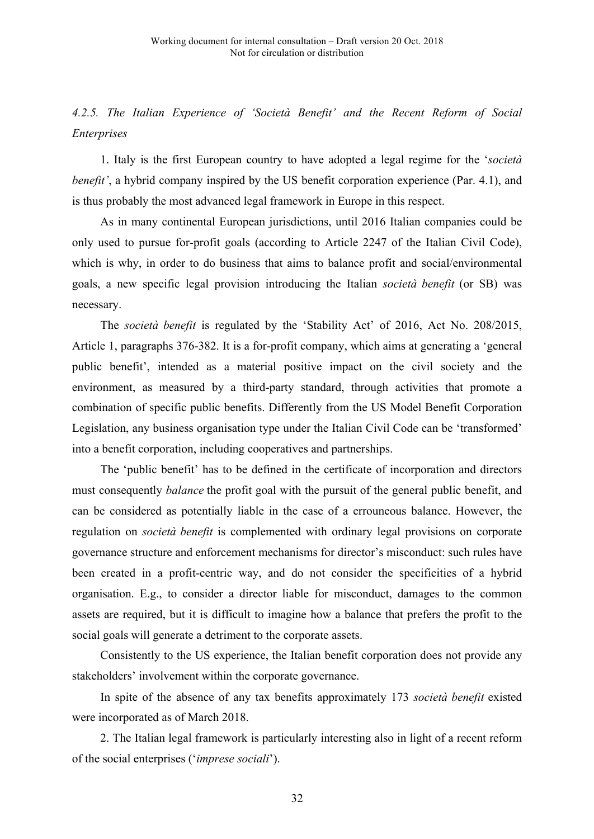# *4.2.5. The Italian Experience of 'Società Benefit' and the Recent Reform of Social Enterprises*

1. Italy is the first European country to have adopted a legal regime for the '*società benefit'*, a hybrid company inspired by the US benefit corporation experience (Par. 4.1), and is thus probably the most advanced legal framework in Europe in this respect.

As in many continental European jurisdictions, until 2016 Italian companies could be only used to pursue for-profit goals (according to Article 2247 of the Italian Civil Code), which is why, in order to do business that aims to balance profit and social/environmental goals, a new specific legal provision introducing the Italian *società benefit* (or SB) was necessary.

The *società benefit* is regulated by the 'Stability Act' of 2016, Act No. 208/2015, Article 1, paragraphs 376-382. It is a for-profit company, which aims at generating a 'general public benefit', intended as a material positive impact on the civil society and the environment, as measured by a third-party standard, through activities that promote a combination of specific public benefits. Differently from the US Model Benefit Corporation Legislation, any business organisation type under the Italian Civil Code can be 'transformed' into a benefit corporation, including cooperatives and partnerships.

The 'public benefit' has to be defined in the certificate of incorporation and directors must consequently *balance* the profit goal with the pursuit of the general public benefit, and can be considered as potentially liable in the case of a errouneous balance. However, the regulation on *società benefit* is complemented with ordinary legal provisions on corporate governance structure and enforcement mechanisms for director's misconduct: such rules have been created in a profit-centric way, and do not consider the specificities of a hybrid organisation. E.g., to consider a director liable for misconduct, damages to the common assets are required, but it is difficult to imagine how a balance that prefers the profit to the social goals will generate a detriment to the corporate assets.

Consistently to the US experience, the Italian benefit corporation does not provide any stakeholders' involvement within the corporate governance.

In spite of the absence of any tax benefits approximately 173 *società benefit* existed were incorporated as of March 2018.

2. The Italian legal framework is particularly interesting also in light of a recent reform of the social enterprises ('*imprese sociali*').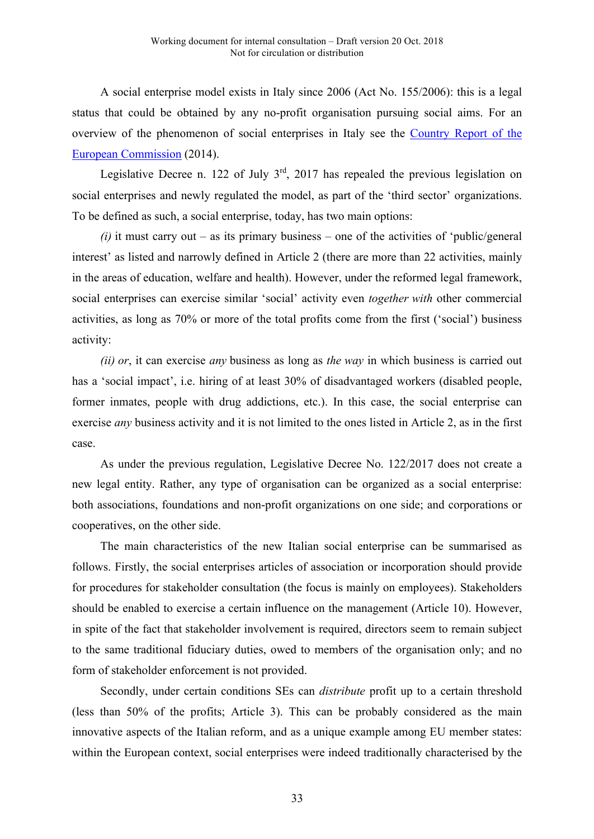A social enterprise model exists in Italy since 2006 (Act No. 155/2006): this is a legal status that could be obtained by any no-profit organisation pursuing social aims. For an overview of the phenomenon of social enterprises in Italy see the Country Report of the European Commission (2014).

Legislative Decree n. 122 of July  $3^{rd}$ , 2017 has repealed the previous legislation on social enterprises and newly regulated the model, as part of the 'third sector' organizations. To be defined as such, a social enterprise, today, has two main options:

 $(i)$  it must carry out – as its primary business – one of the activities of 'public/general interest' as listed and narrowly defined in Article 2 (there are more than 22 activities, mainly in the areas of education, welfare and health). However, under the reformed legal framework, social enterprises can exercise similar 'social' activity even *together with* other commercial activities, as long as 70% or more of the total profits come from the first ('social') business activity:

*(ii) or*, it can exercise *any* business as long as *the way* in which business is carried out has a 'social impact', i.e. hiring of at least 30% of disadvantaged workers (disabled people, former inmates, people with drug addictions, etc.). In this case, the social enterprise can exercise *any* business activity and it is not limited to the ones listed in Article 2, as in the first case.

As under the previous regulation, Legislative Decree No. 122/2017 does not create a new legal entity. Rather, any type of organisation can be organized as a social enterprise: both associations, foundations and non-profit organizations on one side; and corporations or cooperatives, on the other side.

The main characteristics of the new Italian social enterprise can be summarised as follows. Firstly, the social enterprises articles of association or incorporation should provide for procedures for stakeholder consultation (the focus is mainly on employees). Stakeholders should be enabled to exercise a certain influence on the management (Article 10). However, in spite of the fact that stakeholder involvement is required, directors seem to remain subject to the same traditional fiduciary duties, owed to members of the organisation only; and no form of stakeholder enforcement is not provided.

Secondly, under certain conditions SEs can *distribute* profit up to a certain threshold (less than 50% of the profits; Article 3). This can be probably considered as the main innovative aspects of the Italian reform, and as a unique example among EU member states: within the European context, social enterprises were indeed traditionally characterised by the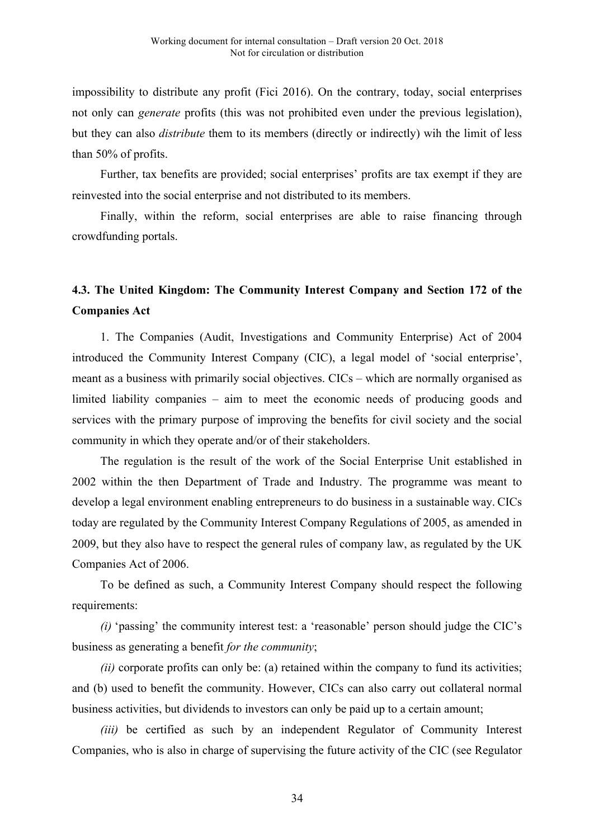impossibility to distribute any profit (Fici 2016). On the contrary, today, social enterprises not only can *generate* profits (this was not prohibited even under the previous legislation), but they can also *distribute* them to its members (directly or indirectly) wih the limit of less than 50% of profits.

Further, tax benefits are provided; social enterprises' profits are tax exempt if they are reinvested into the social enterprise and not distributed to its members.

Finally, within the reform, social enterprises are able to raise financing through crowdfunding portals.

# **4.3. The United Kingdom: The Community Interest Company and Section 172 of the Companies Act**

1. The Companies (Audit, Investigations and Community Enterprise) Act of 2004 introduced the Community Interest Company (CIC), a legal model of 'social enterprise', meant as a business with primarily social objectives. CICs – which are normally organised as limited liability companies – aim to meet the economic needs of producing goods and services with the primary purpose of improving the benefits for civil society and the social community in which they operate and/or of their stakeholders.

The regulation is the result of the work of the Social Enterprise Unit established in 2002 within the then Department of Trade and Industry. The programme was meant to develop a legal environment enabling entrepreneurs to do business in a sustainable way. CICs today are regulated by the Community Interest Company Regulations of 2005, as amended in 2009, but they also have to respect the general rules of company law, as regulated by the UK Companies Act of 2006.

To be defined as such, a Community Interest Company should respect the following requirements:

*(i)* 'passing' the community interest test: a 'reasonable' person should judge the CIC's business as generating a benefit *for the community*;

*(ii)* corporate profits can only be: (a) retained within the company to fund its activities; and (b) used to benefit the community. However, CICs can also carry out collateral normal business activities, but dividends to investors can only be paid up to a certain amount;

*(iii)* be certified as such by an independent Regulator of Community Interest Companies, who is also in charge of supervising the future activity of the CIC (see Regulator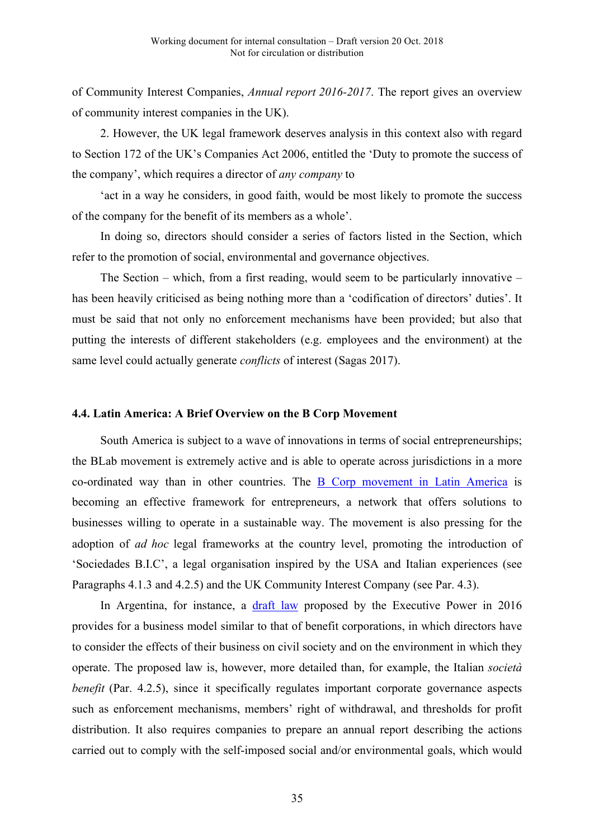of Community Interest Companies, *Annual report 2016-2017*. The report gives an overview of community interest companies in the UK).

2. However, the UK legal framework deserves analysis in this context also with regard to Section 172 of the UK's Companies Act 2006, entitled the 'Duty to promote the success of the company', which requires a director of *any company* to

'act in a way he considers, in good faith, would be most likely to promote the success of the company for the benefit of its members as a whole'.

In doing so, directors should consider a series of factors listed in the Section, which refer to the promotion of social, environmental and governance objectives.

The Section – which, from a first reading, would seem to be particularly innovative – has been heavily criticised as being nothing more than a 'codification of directors' duties'. It must be said that not only no enforcement mechanisms have been provided; but also that putting the interests of different stakeholders (e.g. employees and the environment) at the same level could actually generate *conflicts* of interest (Sagas 2017).

#### **4.4. Latin America: A Brief Overview on the B Corp Movement**

South America is subject to a wave of innovations in terms of social entrepreneurships; the BLab movement is extremely active and is able to operate across jurisdictions in a more co-ordinated way than in other countries. The B Corp movement in Latin America is becoming an effective framework for entrepreneurs, a network that offers solutions to businesses willing to operate in a sustainable way. The movement is also pressing for the adoption of *ad hoc* legal frameworks at the country level, promoting the introduction of 'Sociedades B.I.C', a legal organisation inspired by the USA and Italian experiences (see Paragraphs 4.1.3 and 4.2.5) and the UK Community Interest Company (see Par. 4.3).

In Argentina, for instance, a draft law proposed by the Executive Power in 2016 provides for a business model similar to that of benefit corporations, in which directors have to consider the effects of their business on civil society and on the environment in which they operate. The proposed law is, however, more detailed than, for example, the Italian *società benefit* (Par. 4.2.5), since it specifically regulates important corporate governance aspects such as enforcement mechanisms, members' right of withdrawal, and thresholds for profit distribution. It also requires companies to prepare an annual report describing the actions carried out to comply with the self-imposed social and/or environmental goals, which would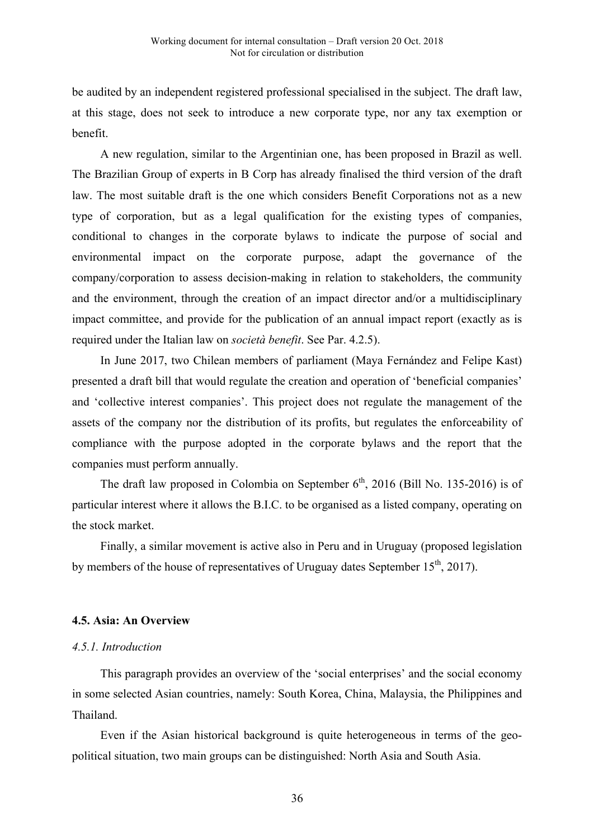be audited by an independent registered professional specialised in the subject. The draft law, at this stage, does not seek to introduce a new corporate type, nor any tax exemption or benefit.

A new regulation, similar to the Argentinian one, has been proposed in Brazil as well. The Brazilian Group of experts in B Corp has already finalised the third version of the draft law. The most suitable draft is the one which considers Benefit Corporations not as a new type of corporation, but as a legal qualification for the existing types of companies, conditional to changes in the corporate bylaws to indicate the purpose of social and environmental impact on the corporate purpose, adapt the governance of the company/corporation to assess decision-making in relation to stakeholders, the community and the environment, through the creation of an impact director and/or a multidisciplinary impact committee, and provide for the publication of an annual impact report (exactly as is required under the Italian law on *società benefit*. See Par. 4.2.5).

In June 2017, two Chilean members of parliament (Maya Fernández and Felipe Kast) presented a draft bill that would regulate the creation and operation of 'beneficial companies' and 'collective interest companies'. This project does not regulate the management of the assets of the company nor the distribution of its profits, but regulates the enforceability of compliance with the purpose adopted in the corporate bylaws and the report that the companies must perform annually.

The draft law proposed in Colombia on September  $6<sup>th</sup>$ , 2016 (Bill No. 135-2016) is of particular interest where it allows the B.I.C. to be organised as a listed company, operating on the stock market.

Finally, a similar movement is active also in Peru and in Uruguay (proposed legislation by members of the house of representatives of Uruguay dates September  $15^{th}$ , 2017).

# **4.5. Asia: An Overview**

# *4.5.1. Introduction*

This paragraph provides an overview of the 'social enterprises' and the social economy in some selected Asian countries, namely: South Korea, China, Malaysia, the Philippines and Thailand.

Even if the Asian historical background is quite heterogeneous in terms of the geopolitical situation, two main groups can be distinguished: North Asia and South Asia.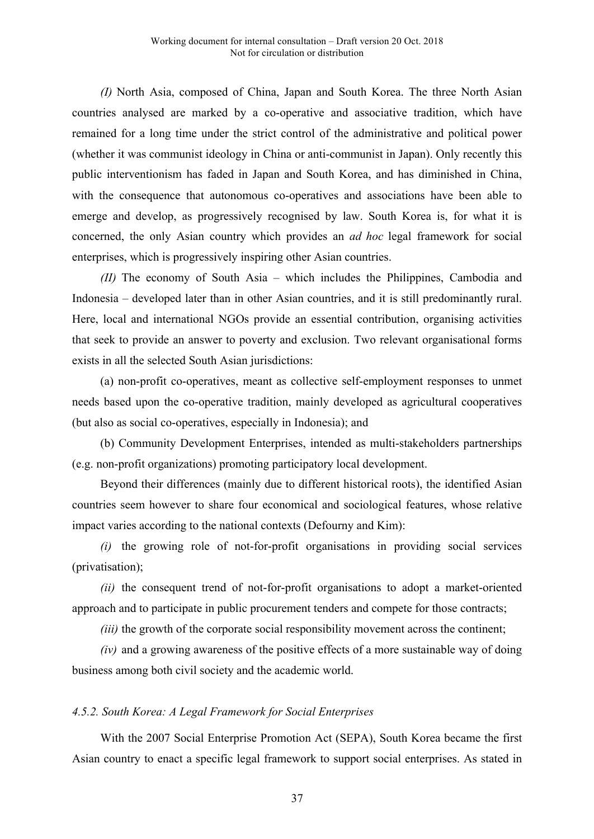*(I)* North Asia, composed of China, Japan and South Korea. The three North Asian countries analysed are marked by a co-operative and associative tradition, which have remained for a long time under the strict control of the administrative and political power (whether it was communist ideology in China or anti-communist in Japan). Only recently this public interventionism has faded in Japan and South Korea, and has diminished in China, with the consequence that autonomous co-operatives and associations have been able to emerge and develop, as progressively recognised by law. South Korea is, for what it is concerned, the only Asian country which provides an *ad hoc* legal framework for social enterprises, which is progressively inspiring other Asian countries.

*(II)* The economy of South Asia – which includes the Philippines, Cambodia and Indonesia – developed later than in other Asian countries, and it is still predominantly rural. Here, local and international NGOs provide an essential contribution, organising activities that seek to provide an answer to poverty and exclusion. Two relevant organisational forms exists in all the selected South Asian jurisdictions:

(a) non-profit co-operatives, meant as collective self-employment responses to unmet needs based upon the co-operative tradition, mainly developed as agricultural cooperatives (but also as social co-operatives, especially in Indonesia); and

(b) Community Development Enterprises, intended as multi-stakeholders partnerships (e.g. non-profit organizations) promoting participatory local development.

Beyond their differences (mainly due to different historical roots), the identified Asian countries seem however to share four economical and sociological features, whose relative impact varies according to the national contexts (Defourny and Kim):

*(i)* the growing role of not-for-profit organisations in providing social services (privatisation);

*(ii)* the consequent trend of not-for-profit organisations to adopt a market-oriented approach and to participate in public procurement tenders and compete for those contracts;

*(iii)* the growth of the corporate social responsibility movement across the continent;

*(iv)* and a growing awareness of the positive effects of a more sustainable way of doing business among both civil society and the academic world.

#### *4.5.2. South Korea: A Legal Framework for Social Enterprises*

With the 2007 Social Enterprise Promotion Act (SEPA), South Korea became the first Asian country to enact a specific legal framework to support social enterprises. As stated in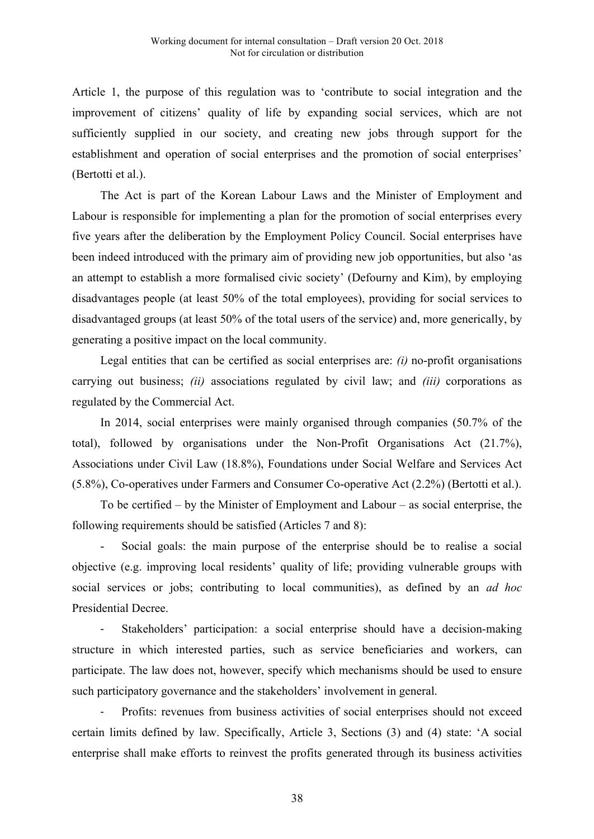Article 1, the purpose of this regulation was to 'contribute to social integration and the improvement of citizens' quality of life by expanding social services, which are not sufficiently supplied in our society, and creating new jobs through support for the establishment and operation of social enterprises and the promotion of social enterprises' (Bertotti et al.).

The Act is part of the Korean Labour Laws and the Minister of Employment and Labour is responsible for implementing a plan for the promotion of social enterprises every five years after the deliberation by the Employment Policy Council. Social enterprises have been indeed introduced with the primary aim of providing new job opportunities, but also 'as an attempt to establish a more formalised civic society' (Defourny and Kim), by employing disadvantages people (at least 50% of the total employees), providing for social services to disadvantaged groups (at least 50% of the total users of the service) and, more generically, by generating a positive impact on the local community.

Legal entities that can be certified as social enterprises are: *(i)* no-profit organisations carrying out business; *(ii)* associations regulated by civil law; and *(iii)* corporations as regulated by the Commercial Act.

In 2014, social enterprises were mainly organised through companies (50.7% of the total), followed by organisations under the Non-Profit Organisations Act (21.7%), Associations under Civil Law (18.8%), Foundations under Social Welfare and Services Act (5.8%), Co-operatives under Farmers and Consumer Co-operative Act (2.2%) (Bertotti et al.).

To be certified – by the Minister of Employment and Labour – as social enterprise, the following requirements should be satisfied (Articles 7 and 8):

Social goals: the main purpose of the enterprise should be to realise a social objective (e.g. improving local residents' quality of life; providing vulnerable groups with social services or jobs; contributing to local communities), as defined by an *ad hoc*  Presidential Decree.

Stakeholders' participation: a social enterprise should have a decision-making structure in which interested parties, such as service beneficiaries and workers, can participate. The law does not, however, specify which mechanisms should be used to ensure such participatory governance and the stakeholders' involvement in general.

Profits: revenues from business activities of social enterprises should not exceed certain limits defined by law. Specifically, Article 3, Sections (3) and (4) state: 'A social enterprise shall make efforts to reinvest the profits generated through its business activities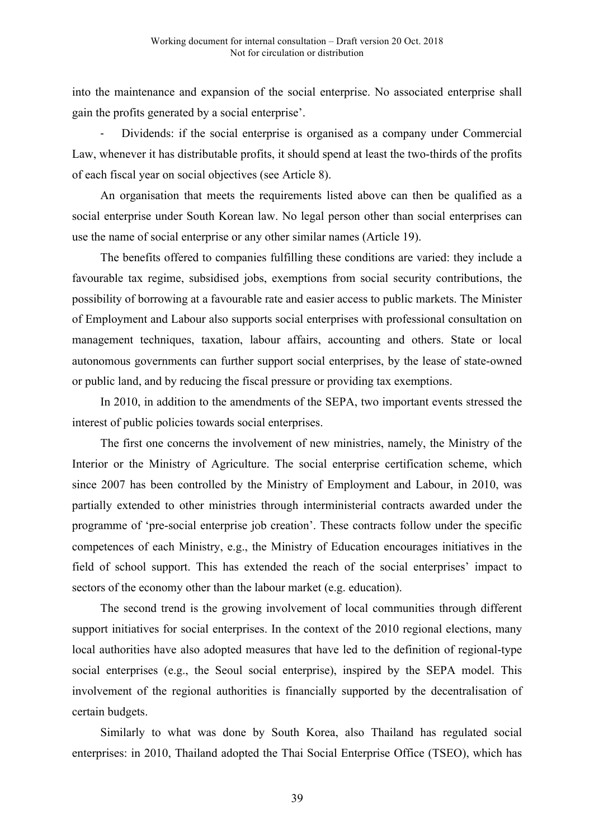into the maintenance and expansion of the social enterprise. No associated enterprise shall gain the profits generated by a social enterprise'.

Dividends: if the social enterprise is organised as a company under Commercial Law, whenever it has distributable profits, it should spend at least the two-thirds of the profits of each fiscal year on social objectives (see Article 8).

An organisation that meets the requirements listed above can then be qualified as a social enterprise under South Korean law. No legal person other than social enterprises can use the name of social enterprise or any other similar names (Article 19).

The benefits offered to companies fulfilling these conditions are varied: they include a favourable tax regime, subsidised jobs, exemptions from social security contributions, the possibility of borrowing at a favourable rate and easier access to public markets. The Minister of Employment and Labour also supports social enterprises with professional consultation on management techniques, taxation, labour affairs, accounting and others. State or local autonomous governments can further support social enterprises, by the lease of state-owned or public land, and by reducing the fiscal pressure or providing tax exemptions.

In 2010, in addition to the amendments of the SEPA, two important events stressed the interest of public policies towards social enterprises.

The first one concerns the involvement of new ministries, namely, the Ministry of the Interior or the Ministry of Agriculture. The social enterprise certification scheme, which since 2007 has been controlled by the Ministry of Employment and Labour, in 2010, was partially extended to other ministries through interministerial contracts awarded under the programme of 'pre-social enterprise job creation'. These contracts follow under the specific competences of each Ministry, e.g., the Ministry of Education encourages initiatives in the field of school support. This has extended the reach of the social enterprises' impact to sectors of the economy other than the labour market (e.g. education).

The second trend is the growing involvement of local communities through different support initiatives for social enterprises. In the context of the 2010 regional elections, many local authorities have also adopted measures that have led to the definition of regional-type social enterprises (e.g., the Seoul social enterprise), inspired by the SEPA model. This involvement of the regional authorities is financially supported by the decentralisation of certain budgets.

Similarly to what was done by South Korea, also Thailand has regulated social enterprises: in 2010, Thailand adopted the Thai Social Enterprise Office (TSEO), which has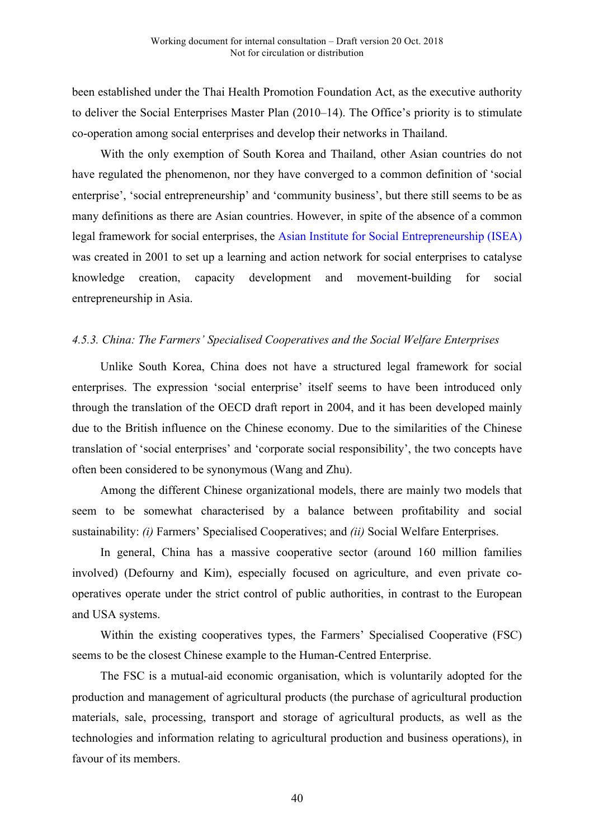been established under the Thai Health Promotion Foundation Act, as the executive authority to deliver the Social Enterprises Master Plan (2010–14). The Office's priority is to stimulate co-operation among social enterprises and develop their networks in Thailand.

With the only exemption of South Korea and Thailand, other Asian countries do not have regulated the phenomenon, nor they have converged to a common definition of 'social enterprise', 'social entrepreneurship' and 'community business', but there still seems to be as many definitions as there are Asian countries. However, in spite of the absence of a common legal framework for social enterprises, the Asian Institute for Social Entrepreneurship (ISEA) was created in 2001 to set up a learning and action network for social enterprises to catalyse knowledge creation, capacity development and movement-building for social entrepreneurship in Asia.

#### *4.5.3. China: The Farmers' Specialised Cooperatives and the Social Welfare Enterprises*

Unlike South Korea, China does not have a structured legal framework for social enterprises. The expression 'social enterprise' itself seems to have been introduced only through the translation of the OECD draft report in 2004, and it has been developed mainly due to the British influence on the Chinese economy. Due to the similarities of the Chinese translation of 'social enterprises' and 'corporate social responsibility', the two concepts have often been considered to be synonymous (Wang and Zhu).

Among the different Chinese organizational models, there are mainly two models that seem to be somewhat characterised by a balance between profitability and social sustainability: *(i)* Farmers' Specialised Cooperatives; and *(ii)* Social Welfare Enterprises.

In general, China has a massive cooperative sector (around 160 million families involved) (Defourny and Kim), especially focused on agriculture, and even private cooperatives operate under the strict control of public authorities, in contrast to the European and USA systems.

Within the existing cooperatives types, the Farmers' Specialised Cooperative (FSC) seems to be the closest Chinese example to the Human-Centred Enterprise.

The FSC is a mutual-aid economic organisation, which is voluntarily adopted for the production and management of agricultural products (the purchase of agricultural production materials, sale, processing, transport and storage of agricultural products, as well as the technologies and information relating to agricultural production and business operations), in favour of its members.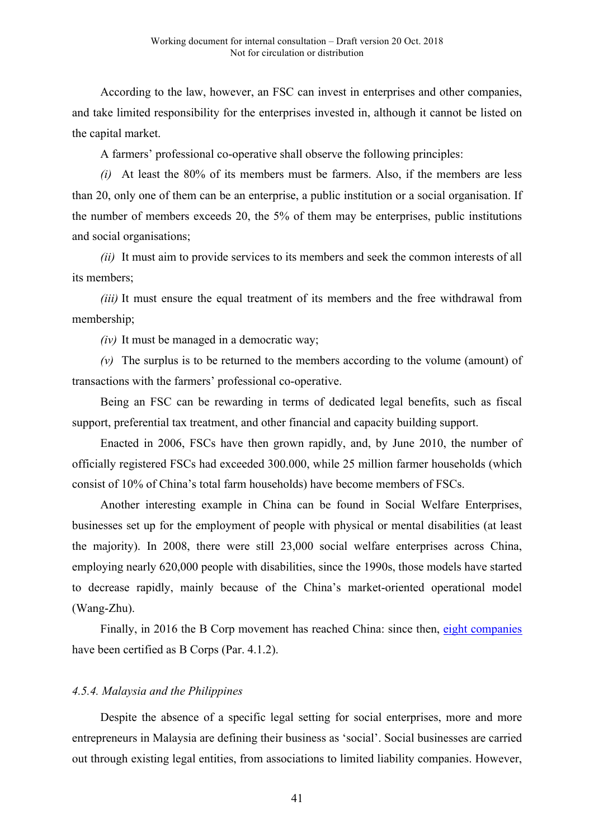According to the law, however, an FSC can invest in enterprises and other companies, and take limited responsibility for the enterprises invested in, although it cannot be listed on the capital market.

A farmers' professional co-operative shall observe the following principles:

*(i)* At least the 80% of its members must be farmers. Also, if the members are less than 20, only one of them can be an enterprise, a public institution or a social organisation. If the number of members exceeds 20, the 5% of them may be enterprises, public institutions and social organisations;

*(ii)* It must aim to provide services to its members and seek the common interests of all its members;

*(iii)* It must ensure the equal treatment of its members and the free withdrawal from membership;

*(iv)* It must be managed in a democratic way;

*(v)* The surplus is to be returned to the members according to the volume (amount) of transactions with the farmers' professional co-operative.

Being an FSC can be rewarding in terms of dedicated legal benefits, such as fiscal support, preferential tax treatment, and other financial and capacity building support.

Enacted in 2006, FSCs have then grown rapidly, and, by June 2010, the number of officially registered FSCs had exceeded 300.000, while 25 million farmer households (which consist of 10% of China's total farm households) have become members of FSCs.

Another interesting example in China can be found in Social Welfare Enterprises, businesses set up for the employment of people with physical or mental disabilities (at least the majority). In 2008, there were still 23,000 social welfare enterprises across China, employing nearly 620,000 people with disabilities, since the 1990s, those models have started to decrease rapidly, mainly because of the China's market-oriented operational model (Wang-Zhu).

Finally, in 2016 the B Corp movement has reached China: since then, eight companies have been certified as B Corps (Par. 4.1.2).

# *4.5.4. Malaysia and the Philippines*

Despite the absence of a specific legal setting for social enterprises, more and more entrepreneurs in Malaysia are defining their business as 'social'. Social businesses are carried out through existing legal entities, from associations to limited liability companies. However,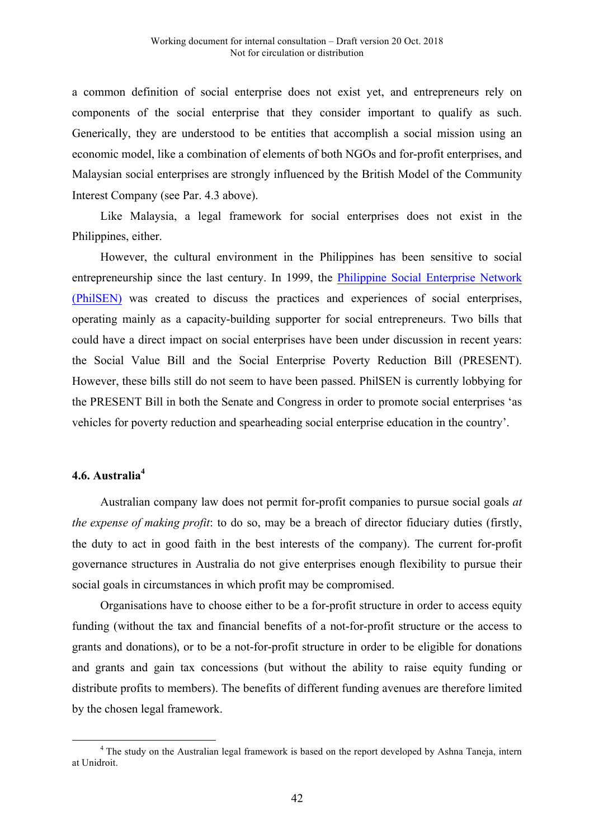a common definition of social enterprise does not exist yet, and entrepreneurs rely on components of the social enterprise that they consider important to qualify as such. Generically, they are understood to be entities that accomplish a social mission using an economic model, like a combination of elements of both NGOs and for-profit enterprises, and Malaysian social enterprises are strongly influenced by the British Model of the Community Interest Company (see Par. 4.3 above).

Like Malaysia, a legal framework for social enterprises does not exist in the Philippines, either.

However, the cultural environment in the Philippines has been sensitive to social entrepreneurship since the last century. In 1999, the Philippine Social Enterprise Network (PhilSEN) was created to discuss the practices and experiences of social enterprises, operating mainly as a capacity-building supporter for social entrepreneurs. Two bills that could have a direct impact on social enterprises have been under discussion in recent years: the Social Value Bill and the Social Enterprise Poverty Reduction Bill (PRESENT). However, these bills still do not seem to have been passed. PhilSEN is currently lobbying for the PRESENT Bill in both the Senate and Congress in order to promote social enterprises 'as vehicles for poverty reduction and spearheading social enterprise education in the country'.

# **4.6. Australia<sup>4</sup>**

Australian company law does not permit for-profit companies to pursue social goals *at the expense of making profit*: to do so, may be a breach of director fiduciary duties (firstly, the duty to act in good faith in the best interests of the company). The current for-profit governance structures in Australia do not give enterprises enough flexibility to pursue their social goals in circumstances in which profit may be compromised.

Organisations have to choose either to be a for-profit structure in order to access equity funding (without the tax and financial benefits of a not-for-profit structure or the access to grants and donations), or to be a not-for-profit structure in order to be eligible for donations and grants and gain tax concessions (but without the ability to raise equity funding or distribute profits to members). The benefits of different funding avenues are therefore limited by the chosen legal framework.

<sup>&</sup>lt;sup>4</sup> The study on the Australian legal framework is based on the report developed by Ashna Taneja, intern at Unidroit.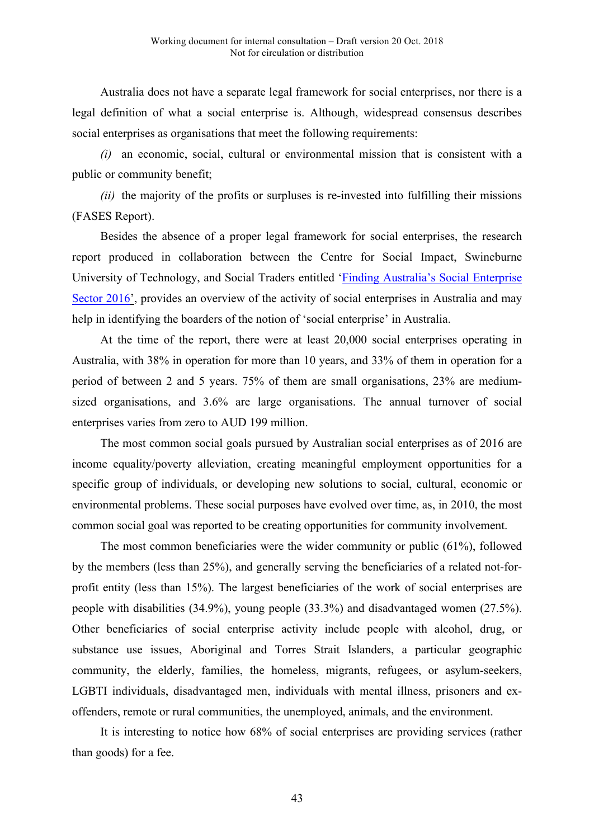Australia does not have a separate legal framework for social enterprises, nor there is a legal definition of what a social enterprise is. Although, widespread consensus describes social enterprises as organisations that meet the following requirements:

*(i)* an economic, social, cultural or environmental mission that is consistent with a public or community benefit;

*(ii)* the majority of the profits or surpluses is re-invested into fulfilling their missions (FASES Report).

Besides the absence of a proper legal framework for social enterprises, the research report produced in collaboration between the Centre for Social Impact, Swineburne University of Technology, and Social Traders entitled 'Finding Australia's Social Enterprise Sector 2016', provides an overview of the activity of social enterprises in Australia and may help in identifying the boarders of the notion of 'social enterprise' in Australia.

At the time of the report, there were at least 20,000 social enterprises operating in Australia, with 38% in operation for more than 10 years, and 33% of them in operation for a period of between 2 and 5 years. 75% of them are small organisations, 23% are mediumsized organisations, and 3.6% are large organisations. The annual turnover of social enterprises varies from zero to AUD 199 million.

The most common social goals pursued by Australian social enterprises as of 2016 are income equality/poverty alleviation, creating meaningful employment opportunities for a specific group of individuals, or developing new solutions to social, cultural, economic or environmental problems. These social purposes have evolved over time, as, in 2010, the most common social goal was reported to be creating opportunities for community involvement.

The most common beneficiaries were the wider community or public (61%), followed by the members (less than 25%), and generally serving the beneficiaries of a related not-forprofit entity (less than 15%). The largest beneficiaries of the work of social enterprises are people with disabilities (34.9%), young people (33.3%) and disadvantaged women (27.5%). Other beneficiaries of social enterprise activity include people with alcohol, drug, or substance use issues, Aboriginal and Torres Strait Islanders, a particular geographic community, the elderly, families, the homeless, migrants, refugees, or asylum-seekers, LGBTI individuals, disadvantaged men, individuals with mental illness, prisoners and exoffenders, remote or rural communities, the unemployed, animals, and the environment.

It is interesting to notice how 68% of social enterprises are providing services (rather than goods) for a fee.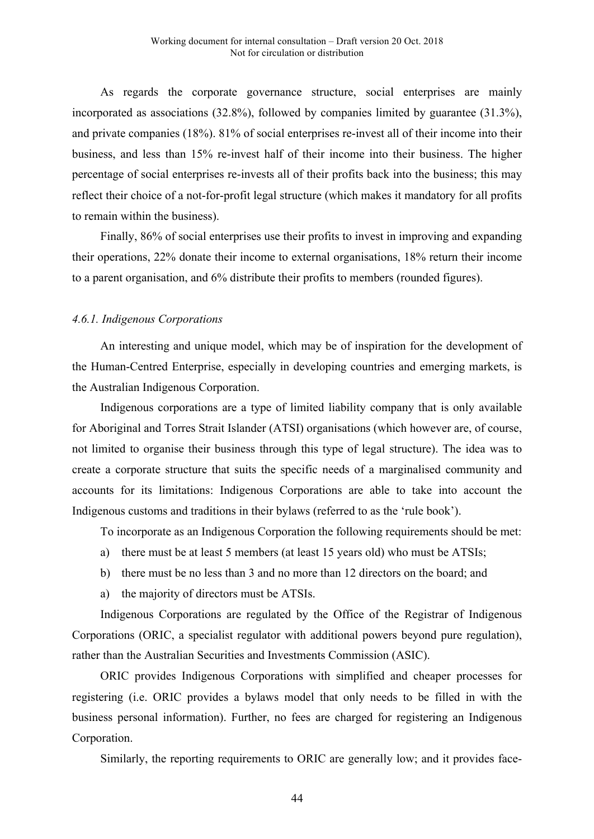As regards the corporate governance structure, social enterprises are mainly incorporated as associations (32.8%), followed by companies limited by guarantee (31.3%), and private companies (18%). 81% of social enterprises re-invest all of their income into their business, and less than 15% re-invest half of their income into their business. The higher percentage of social enterprises re-invests all of their profits back into the business; this may reflect their choice of a not-for-profit legal structure (which makes it mandatory for all profits to remain within the business).

Finally, 86% of social enterprises use their profits to invest in improving and expanding their operations, 22% donate their income to external organisations, 18% return their income to a parent organisation, and 6% distribute their profits to members (rounded figures).

#### *4.6.1. Indigenous Corporations*

An interesting and unique model, which may be of inspiration for the development of the Human-Centred Enterprise, especially in developing countries and emerging markets, is the Australian Indigenous Corporation.

Indigenous corporations are a type of limited liability company that is only available for Aboriginal and Torres Strait Islander (ATSI) organisations (which however are, of course, not limited to organise their business through this type of legal structure). The idea was to create a corporate structure that suits the specific needs of a marginalised community and accounts for its limitations: Indigenous Corporations are able to take into account the Indigenous customs and traditions in their bylaws (referred to as the 'rule book').

To incorporate as an Indigenous Corporation the following requirements should be met:

- a) there must be at least 5 members (at least 15 years old) who must be ATSIs;
- b) there must be no less than 3 and no more than 12 directors on the board; and
- a) the majority of directors must be ATSIs.

Indigenous Corporations are regulated by the Office of the Registrar of Indigenous Corporations (ORIC, a specialist regulator with additional powers beyond pure regulation), rather than the Australian Securities and Investments Commission (ASIC).

ORIC provides Indigenous Corporations with simplified and cheaper processes for registering (i.e. ORIC provides a bylaws model that only needs to be filled in with the business personal information). Further, no fees are charged for registering an Indigenous Corporation.

Similarly, the reporting requirements to ORIC are generally low; and it provides face-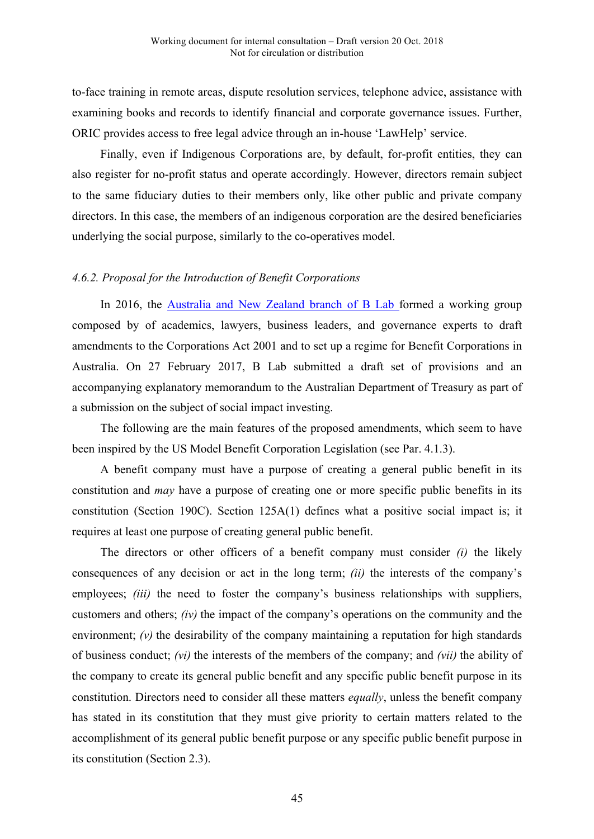to-face training in remote areas, dispute resolution services, telephone advice, assistance with examining books and records to identify financial and corporate governance issues. Further, ORIC provides access to free legal advice through an in-house 'LawHelp' service.

Finally, even if Indigenous Corporations are, by default, for-profit entities, they can also register for no-profit status and operate accordingly. However, directors remain subject to the same fiduciary duties to their members only, like other public and private company directors. In this case, the members of an indigenous corporation are the desired beneficiaries underlying the social purpose, similarly to the co-operatives model.

#### *4.6.2. Proposal for the Introduction of Benefit Corporations*

In 2016, the Australia and New Zealand branch of B Lab formed a working group composed by of academics, lawyers, business leaders, and governance experts to draft amendments to the Corporations Act 2001 and to set up a regime for Benefit Corporations in Australia. On 27 February 2017, B Lab submitted a draft set of provisions and an accompanying explanatory memorandum to the Australian Department of Treasury as part of a submission on the subject of social impact investing.

The following are the main features of the proposed amendments, which seem to have been inspired by the US Model Benefit Corporation Legislation (see Par. 4.1.3).

A benefit company must have a purpose of creating a general public benefit in its constitution and *may* have a purpose of creating one or more specific public benefits in its constitution (Section 190C). Section 125A(1) defines what a positive social impact is; it requires at least one purpose of creating general public benefit.

The directors or other officers of a benefit company must consider *(i)* the likely consequences of any decision or act in the long term; *(ii)* the interests of the company's employees; *(iii)* the need to foster the company's business relationships with suppliers, customers and others; *(iv)* the impact of the company's operations on the community and the environment;  $(v)$  the desirability of the company maintaining a reputation for high standards of business conduct; *(vi)* the interests of the members of the company; and *(vii)* the ability of the company to create its general public benefit and any specific public benefit purpose in its constitution. Directors need to consider all these matters *equally*, unless the benefit company has stated in its constitution that they must give priority to certain matters related to the accomplishment of its general public benefit purpose or any specific public benefit purpose in its constitution (Section 2.3).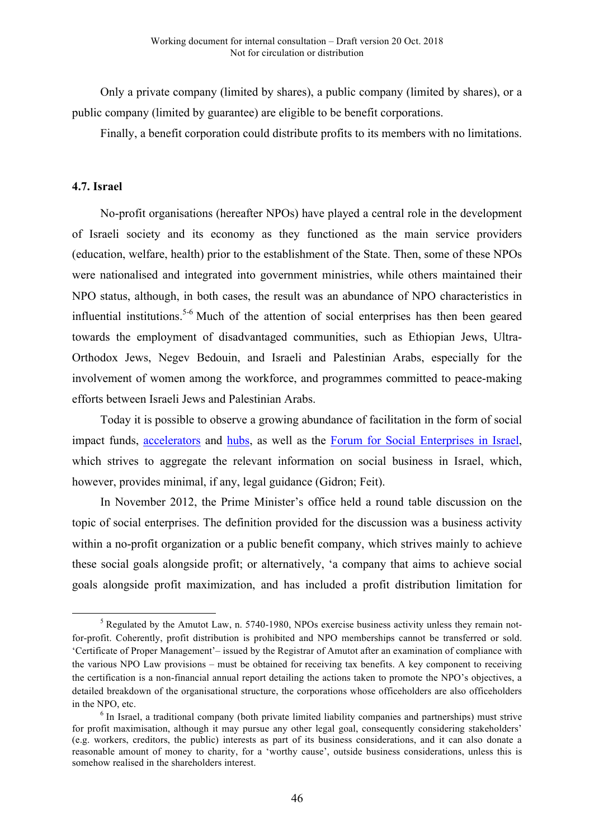Only a private company (limited by shares), a public company (limited by shares), or a public company (limited by guarantee) are eligible to be benefit corporations.

Finally, a benefit corporation could distribute profits to its members with no limitations.

### **4.7. Israel**

 

No-profit organisations (hereafter NPOs) have played a central role in the development of Israeli society and its economy as they functioned as the main service providers (education, welfare, health) prior to the establishment of the State. Then, some of these NPOs were nationalised and integrated into government ministries, while others maintained their NPO status, although, in both cases, the result was an abundance of NPO characteristics in influential institutions.<sup>5-6</sup> Much of the attention of social enterprises has then been geared towards the employment of disadvantaged communities, such as Ethiopian Jews, Ultra-Orthodox Jews, Negev Bedouin, and Israeli and Palestinian Arabs, especially for the involvement of women among the workforce, and programmes committed to peace-making efforts between Israeli Jews and Palestinian Arabs.

Today it is possible to observe a growing abundance of facilitation in the form of social impact funds, accelerators and hubs, as well as the Forum for Social Enterprises in Israel, which strives to aggregate the relevant information on social business in Israel, which, however, provides minimal, if any, legal guidance (Gidron; Feit).

In November 2012, the Prime Minister's office held a round table discussion on the topic of social enterprises. The definition provided for the discussion was a business activity within a no-profit organization or a public benefit company, which strives mainly to achieve these social goals alongside profit; or alternatively, 'a company that aims to achieve social goals alongside profit maximization, and has included a profit distribution limitation for

<sup>&</sup>lt;sup>5</sup> Regulated by the Amutot Law, n. 5740-1980, NPOs exercise business activity unless they remain notfor-profit. Coherently, profit distribution is prohibited and NPO memberships cannot be transferred or sold. 'Certificate of Proper Management'– issued by the Registrar of Amutot after an examination of compliance with the various NPO Law provisions – must be obtained for receiving tax benefits. A key component to receiving the certification is a non-financial annual report detailing the actions taken to promote the NPO's objectives, a detailed breakdown of the organisational structure, the corporations whose officeholders are also officeholders in the NPO, etc.

<sup>&</sup>lt;sup>6</sup> In Israel, a traditional company (both private limited liability companies and partnerships) must strive for profit maximisation, although it may pursue any other legal goal, consequently considering stakeholders' (e.g. workers, creditors, the public) interests as part of its business considerations, and it can also donate a reasonable amount of money to charity, for a 'worthy cause', outside business considerations, unless this is somehow realised in the shareholders interest.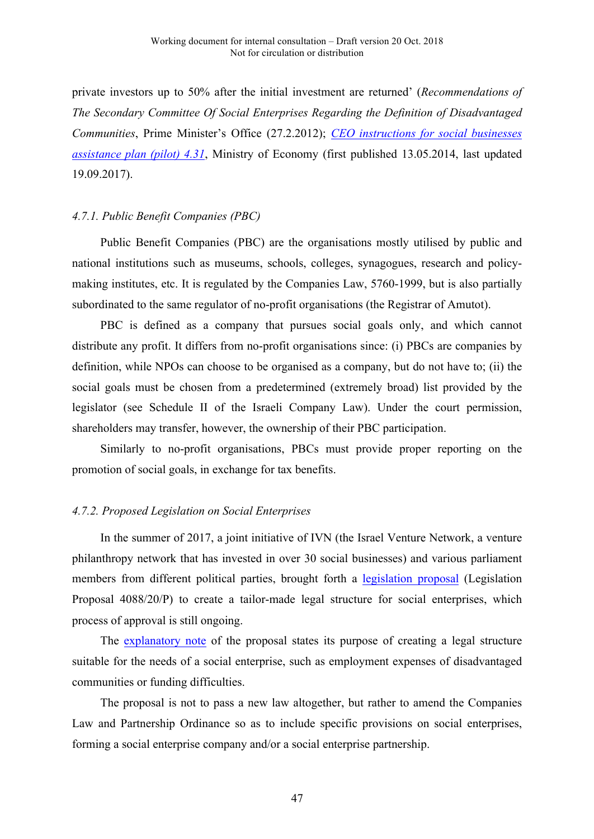private investors up to 50% after the initial investment are returned' (*Recommendations of The Secondary Committee Of Social Enterprises Regarding the Definition of Disadvantaged Communities*, Prime Minister's Office (27.2.2012); *CEO instructions for social businesses assistance plan (pilot) 4.31*, Ministry of Economy (first published 13.05.2014, last updated 19.09.2017).

#### *4.7.1. Public Benefit Companies (PBC)*

Public Benefit Companies (PBC) are the organisations mostly utilised by public and national institutions such as museums, schools, colleges, synagogues, research and policymaking institutes, etc. It is regulated by the Companies Law, 5760-1999, but is also partially subordinated to the same regulator of no-profit organisations (the Registrar of Amutot).

PBC is defined as a company that pursues social goals only, and which cannot distribute any profit. It differs from no-profit organisations since: (i) PBCs are companies by definition, while NPOs can choose to be organised as a company, but do not have to; (ii) the social goals must be chosen from a predetermined (extremely broad) list provided by the legislator (see Schedule II of the Israeli Company Law). Under the court permission, shareholders may transfer, however, the ownership of their PBC participation.

Similarly to no-profit organisations, PBCs must provide proper reporting on the promotion of social goals, in exchange for tax benefits.

# *4.7.2. Proposed Legislation on Social Enterprises*

In the summer of 2017, a joint initiative of IVN (the Israel Venture Network, a venture philanthropy network that has invested in over 30 social businesses) and various parliament members from different political parties, brought forth a legislation proposal (Legislation Proposal 4088/20/P) to create a tailor-made legal structure for social enterprises, which process of approval is still ongoing.

The explanatory note of the proposal states its purpose of creating a legal structure suitable for the needs of a social enterprise, such as employment expenses of disadvantaged communities or funding difficulties.

The proposal is not to pass a new law altogether, but rather to amend the Companies Law and Partnership Ordinance so as to include specific provisions on social enterprises, forming a social enterprise company and/or a social enterprise partnership.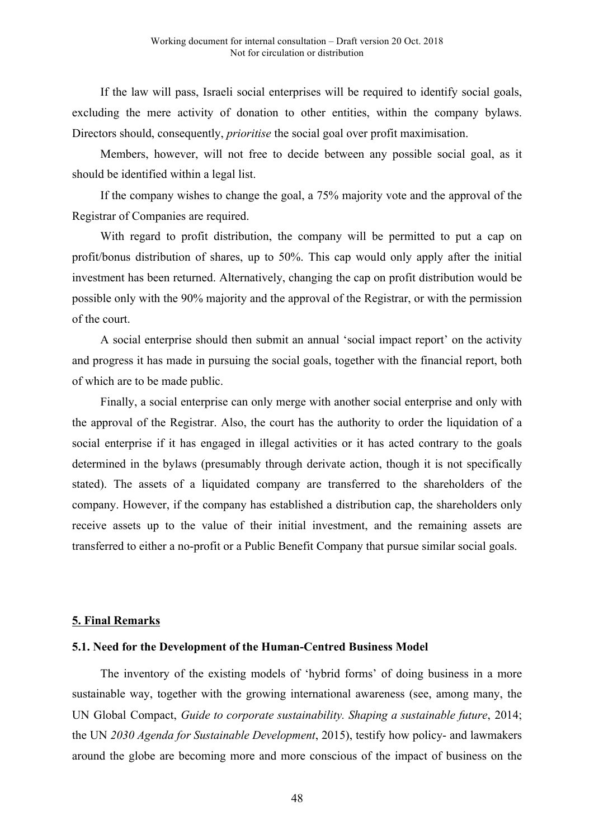If the law will pass, Israeli social enterprises will be required to identify social goals, excluding the mere activity of donation to other entities, within the company bylaws. Directors should, consequently, *prioritise* the social goal over profit maximisation.

Members, however, will not free to decide between any possible social goal, as it should be identified within a legal list.

If the company wishes to change the goal, a 75% majority vote and the approval of the Registrar of Companies are required.

With regard to profit distribution, the company will be permitted to put a cap on profit/bonus distribution of shares, up to 50%. This cap would only apply after the initial investment has been returned. Alternatively, changing the cap on profit distribution would be possible only with the 90% majority and the approval of the Registrar, or with the permission of the court.

A social enterprise should then submit an annual 'social impact report' on the activity and progress it has made in pursuing the social goals, together with the financial report, both of which are to be made public.

Finally, a social enterprise can only merge with another social enterprise and only with the approval of the Registrar. Also, the court has the authority to order the liquidation of a social enterprise if it has engaged in illegal activities or it has acted contrary to the goals determined in the bylaws (presumably through derivate action, though it is not specifically stated). The assets of a liquidated company are transferred to the shareholders of the company. However, if the company has established a distribution cap, the shareholders only receive assets up to the value of their initial investment, and the remaining assets are transferred to either a no-profit or a Public Benefit Company that pursue similar social goals.

# **5. Final Remarks**

#### **5.1. Need for the Development of the Human-Centred Business Model**

The inventory of the existing models of 'hybrid forms' of doing business in a more sustainable way, together with the growing international awareness (see, among many, the UN Global Compact, *Guide to corporate sustainability. Shaping a sustainable future*, 2014; the UN *2030 Agenda for Sustainable Development*, 2015), testify how policy- and lawmakers around the globe are becoming more and more conscious of the impact of business on the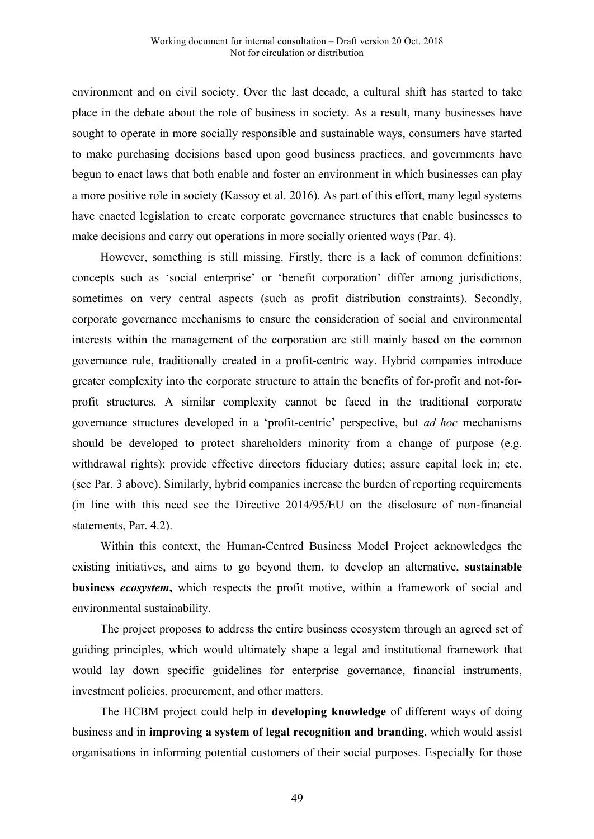environment and on civil society. Over the last decade, a cultural shift has started to take place in the debate about the role of business in society. As a result, many businesses have sought to operate in more socially responsible and sustainable ways, consumers have started to make purchasing decisions based upon good business practices, and governments have begun to enact laws that both enable and foster an environment in which businesses can play a more positive role in society (Kassoy et al. 2016). As part of this effort, many legal systems have enacted legislation to create corporate governance structures that enable businesses to make decisions and carry out operations in more socially oriented ways (Par. 4).

However, something is still missing. Firstly, there is a lack of common definitions: concepts such as 'social enterprise' or 'benefit corporation' differ among jurisdictions, sometimes on very central aspects (such as profit distribution constraints). Secondly, corporate governance mechanisms to ensure the consideration of social and environmental interests within the management of the corporation are still mainly based on the common governance rule, traditionally created in a profit-centric way. Hybrid companies introduce greater complexity into the corporate structure to attain the benefits of for-profit and not-forprofit structures. A similar complexity cannot be faced in the traditional corporate governance structures developed in a 'profit-centric' perspective, but *ad hoc* mechanisms should be developed to protect shareholders minority from a change of purpose (e.g. withdrawal rights); provide effective directors fiduciary duties; assure capital lock in; etc. (see Par. 3 above). Similarly, hybrid companies increase the burden of reporting requirements (in line with this need see the Directive 2014/95/EU on the disclosure of non-financial statements, Par. 4.2).

Within this context, the Human-Centred Business Model Project acknowledges the existing initiatives, and aims to go beyond them, to develop an alternative, **sustainable business** *ecosystem***,** which respects the profit motive, within a framework of social and environmental sustainability.

The project proposes to address the entire business ecosystem through an agreed set of guiding principles, which would ultimately shape a legal and institutional framework that would lay down specific guidelines for enterprise governance, financial instruments, investment policies, procurement, and other matters.

The HCBM project could help in **developing knowledge** of different ways of doing business and in **improving a system of legal recognition and branding**, which would assist organisations in informing potential customers of their social purposes. Especially for those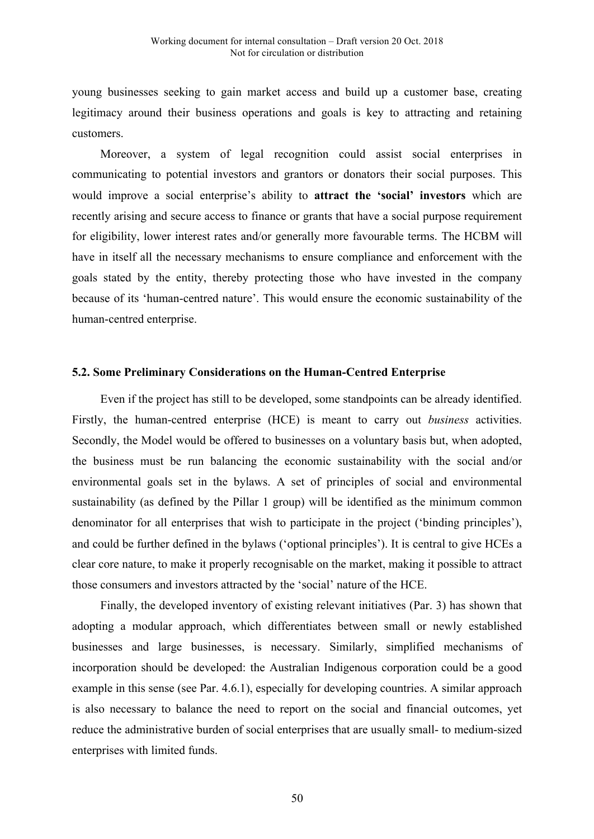young businesses seeking to gain market access and build up a customer base, creating legitimacy around their business operations and goals is key to attracting and retaining customers.

Moreover, a system of legal recognition could assist social enterprises in communicating to potential investors and grantors or donators their social purposes. This would improve a social enterprise's ability to **attract the 'social' investors** which are recently arising and secure access to finance or grants that have a social purpose requirement for eligibility, lower interest rates and/or generally more favourable terms. The HCBM will have in itself all the necessary mechanisms to ensure compliance and enforcement with the goals stated by the entity, thereby protecting those who have invested in the company because of its 'human-centred nature'. This would ensure the economic sustainability of the human-centred enterprise.

#### **5.2. Some Preliminary Considerations on the Human-Centred Enterprise**

Even if the project has still to be developed, some standpoints can be already identified. Firstly, the human-centred enterprise (HCE) is meant to carry out *business* activities. Secondly, the Model would be offered to businesses on a voluntary basis but, when adopted, the business must be run balancing the economic sustainability with the social and/or environmental goals set in the bylaws. A set of principles of social and environmental sustainability (as defined by the Pillar 1 group) will be identified as the minimum common denominator for all enterprises that wish to participate in the project ('binding principles'), and could be further defined in the bylaws ('optional principles'). It is central to give HCEs a clear core nature, to make it properly recognisable on the market, making it possible to attract those consumers and investors attracted by the 'social' nature of the HCE.

Finally, the developed inventory of existing relevant initiatives (Par. 3) has shown that adopting a modular approach, which differentiates between small or newly established businesses and large businesses, is necessary. Similarly, simplified mechanisms of incorporation should be developed: the Australian Indigenous corporation could be a good example in this sense (see Par. 4.6.1), especially for developing countries. A similar approach is also necessary to balance the need to report on the social and financial outcomes, yet reduce the administrative burden of social enterprises that are usually small- to medium-sized enterprises with limited funds.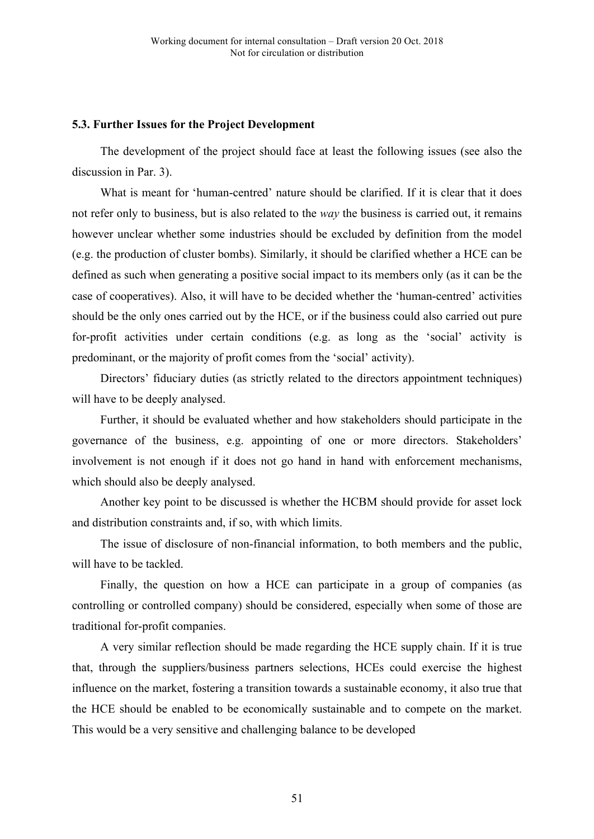#### **5.3. Further Issues for the Project Development**

The development of the project should face at least the following issues (see also the discussion in Par. 3).

What is meant for 'human-centred' nature should be clarified. If it is clear that it does not refer only to business, but is also related to the *way* the business is carried out, it remains however unclear whether some industries should be excluded by definition from the model (e.g. the production of cluster bombs). Similarly, it should be clarified whether a HCE can be defined as such when generating a positive social impact to its members only (as it can be the case of cooperatives). Also, it will have to be decided whether the 'human-centred' activities should be the only ones carried out by the HCE, or if the business could also carried out pure for-profit activities under certain conditions (e.g. as long as the 'social' activity is predominant, or the majority of profit comes from the 'social' activity).

Directors' fiduciary duties (as strictly related to the directors appointment techniques) will have to be deeply analysed.

Further, it should be evaluated whether and how stakeholders should participate in the governance of the business, e.g. appointing of one or more directors. Stakeholders' involvement is not enough if it does not go hand in hand with enforcement mechanisms, which should also be deeply analysed.

Another key point to be discussed is whether the HCBM should provide for asset lock and distribution constraints and, if so, with which limits.

The issue of disclosure of non-financial information, to both members and the public, will have to be tackled.

Finally, the question on how a HCE can participate in a group of companies (as controlling or controlled company) should be considered, especially when some of those are traditional for-profit companies.

A very similar reflection should be made regarding the HCE supply chain. If it is true that, through the suppliers/business partners selections, HCEs could exercise the highest influence on the market, fostering a transition towards a sustainable economy, it also true that the HCE should be enabled to be economically sustainable and to compete on the market. This would be a very sensitive and challenging balance to be developed